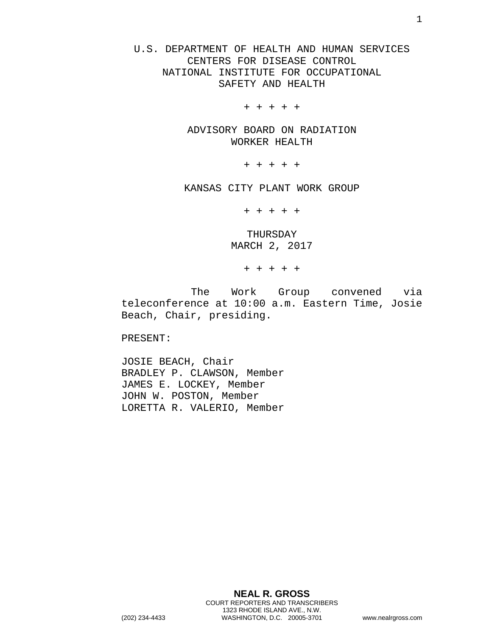U.S. DEPARTMENT OF HEALTH AND HUMAN SERVICES CENTERS FOR DISEASE CONTROL NATIONAL INSTITUTE FOR OCCUPATIONAL SAFETY AND HEALTH

+ + + + +

ADVISORY BOARD ON RADIATION WORKER HEALTH

+ + + + +

KANSAS CITY PLANT WORK GROUP

+ + + + +

THURSDAY MARCH 2, 2017

+ + + + +

The Work Group convened via teleconference at 10:00 a.m. Eastern Time, Josie Beach, Chair, presiding.

PRESENT:

JOSIE BEACH, Chair BRADLEY P. CLAWSON, Member JAMES E. LOCKEY, Member JOHN W. POSTON, Member LORETTA R. VALERIO, Member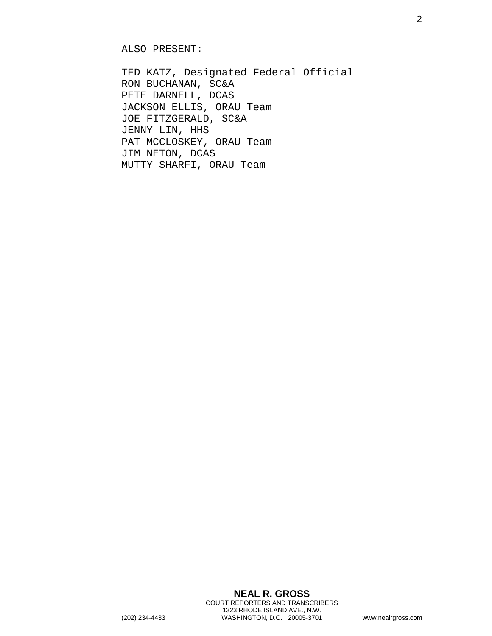ALSO PRESENT:

TED KATZ, Designated Federal Official RON BUCHANAN, SC&A PETE DARNELL, DCAS JACKSON ELLIS, ORAU Team JOE FITZGERALD, SC&A JENNY LIN, HHS PAT MCCLOSKEY, ORAU Team JIM NETON, DCAS MUTTY SHARFI, ORAU Team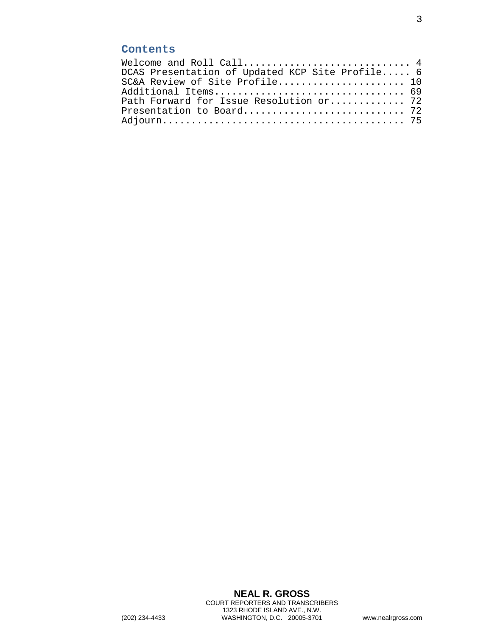## **Contents**

| Welcome and Roll Call $4$                       |  |
|-------------------------------------------------|--|
| DCAS Presentation of Updated KCP Site Profile 6 |  |
| SC&A Review of Site Profile 10                  |  |
| Additional Items 69                             |  |
| Path Forward for Issue Resolution or 72         |  |
|                                                 |  |
|                                                 |  |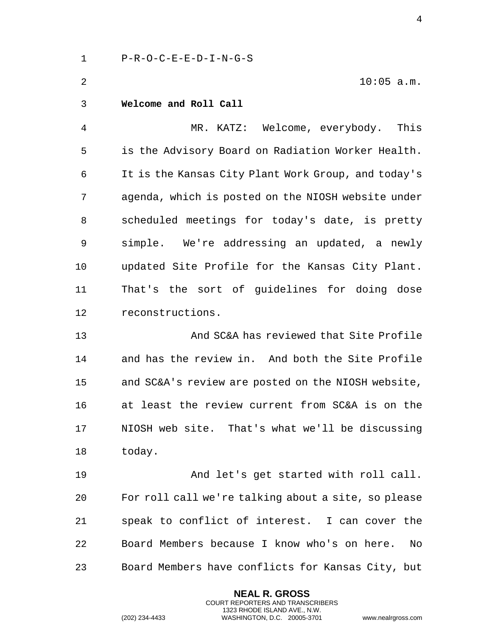1 P-R-O-C-E-E-D-I-N-G-S

2 10:05 a.m.

<span id="page-3-0"></span>3 **Welcome and Roll Call** 

4 MR. KATZ: Welcome, everybody. This 5 is the Advisory Board on Radiation Worker Health. 6 It is the Kansas City Plant Work Group, and today's 7 agenda, which is posted on the NIOSH website under 8 scheduled meetings for today's date, is pretty 9 simple. We're addressing an updated, a newly 10 updated Site Profile for the Kansas City Plant. 11 That's the sort of guidelines for doing dose 12 reconstructions.

13 And SC&A has reviewed that Site Profile 14 and has the review in. And both the Site Profile 15 and SC&A's review are posted on the NIOSH website, 16 at least the review current from SC&A is on the 17 NIOSH web site. That's what we'll be discussing 18 today.

19 And let's get started with roll call. 20 For roll call we're talking about a site, so please 21 speak to conflict of interest. I can cover the 22 Board Members because I know who's on here. No 23 Board Members have conflicts for Kansas City, but

> **NEAL R. GROSS** COURT REPORTERS AND TRANSCRIBERS 1323 RHODE ISLAND AVE., N.W.

(202) 234-4433 WASHINGTON, D.C. 20005-3701 www.nealrgross.com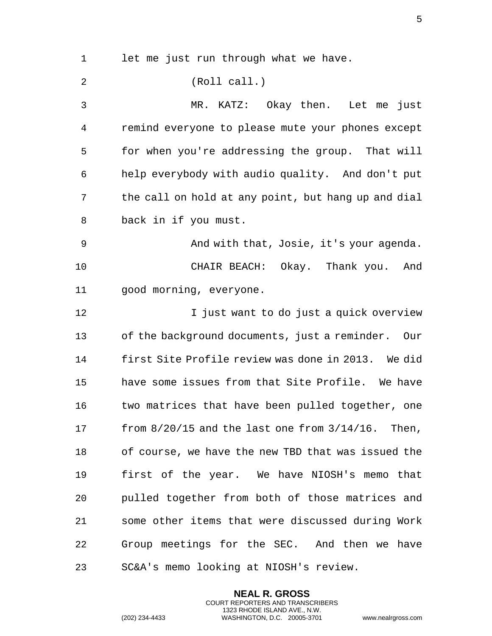1 let me just run through what we have. 2 (Roll call.) 3 MR. KATZ: Okay then. Let me just 4 remind everyone to please mute your phones except 5 for when you're addressing the group. That will 6 help everybody with audio quality. And don't put 7 the call on hold at any point, but hang up and dial 8 back in if you must. 9 And with that, Josie, it's your agenda. 10 CHAIR BEACH: Okay. Thank you. And 11 good morning, everyone. 12 **I** just want to do just a quick overview 13 of the background documents, just a reminder. Our 14 first Site Profile review was done in 2013. We did 15 have some issues from that Site Profile. We have 16 two matrices that have been pulled together, one 17 from 8/20/15 and the last one from 3/14/16. Then, 18 of course, we have the new TBD that was issued the 19 first of the year. We have NIOSH's memo that 20 pulled together from both of those matrices and 21 some other items that were discussed during Work 22 Group meetings for the SEC. And then we have 23 SC&A's memo looking at NIOSH's review.

> **NEAL R. GROSS** COURT REPORTERS AND TRANSCRIBERS 1323 RHODE ISLAND AVE., N.W.

(202) 234-4433 WASHINGTON, D.C. 20005-3701 www.nealrgross.com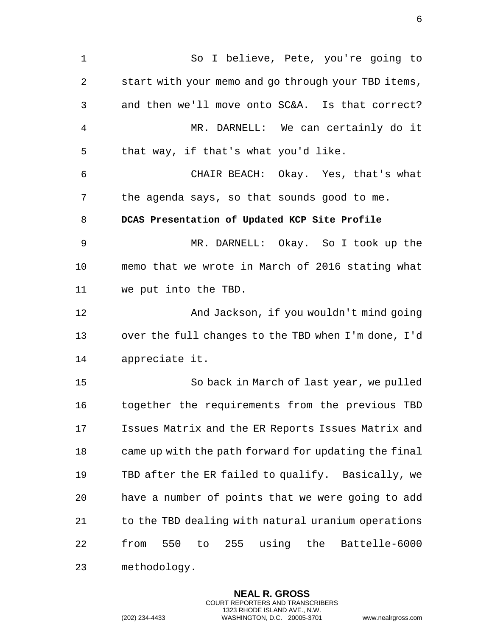<span id="page-5-0"></span>1 So I believe, Pete, you're going to 2 start with your memo and go through your TBD items, 3 and then we'll move onto SC&A. Is that correct? 4 MR. DARNELL: We can certainly do it 5 that way, if that's what you'd like. 6 CHAIR BEACH: Okay. Yes, that's what 7 the agenda says, so that sounds good to me. 8 **DCAS Presentation of Updated KCP Site Profile**  9 MR. DARNELL: Okay. So I took up the 10 memo that we wrote in March of 2016 stating what 11 we put into the TBD. 12 And Jackson, if you wouldn't mind going 13 over the full changes to the TBD when I'm done, I'd 14 appreciate it. 15 So back in March of last year, we pulled 16 together the requirements from the previous TBD 17 Issues Matrix and the ER Reports Issues Matrix and 18 came up with the path forward for updating the final 19 TBD after the ER failed to qualify. Basically, we 20 have a number of points that we were going to add 21 to the TBD dealing with natural uranium operations 22 from 550 to 255 using the Battelle-6000 23 methodology.

> **NEAL R. GROSS** COURT REPORTERS AND TRANSCRIBERS 1323 RHODE ISLAND AVE., N.W.

(202) 234-4433 WASHINGTON, D.C. 20005-3701 www.nealrgross.com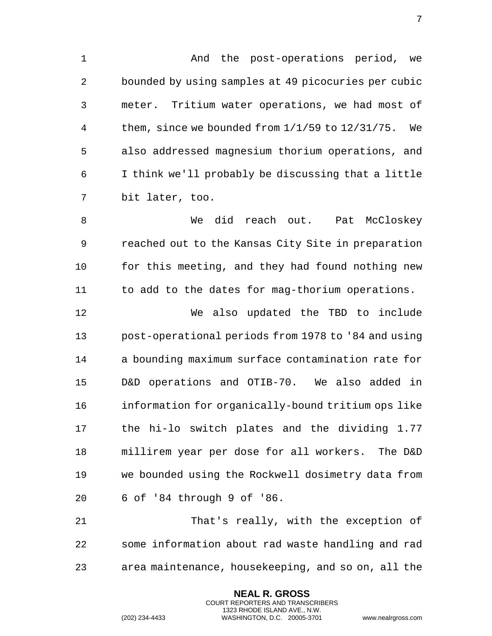1 And the post-operations period, we 2 bounded by using samples at 49 picocuries per cubic 3 meter. Tritium water operations, we had most of 4 them, since we bounded from 1/1/59 to 12/31/75. We 5 also addressed magnesium thorium operations, and 6 I think we'll probably be discussing that a little 7 bit later, too.

8 We did reach out. Pat McCloskey 9 reached out to the Kansas City Site in preparation 10 for this meeting, and they had found nothing new 11 to add to the dates for mag-thorium operations.

12 We also updated the TBD to include 13 post-operational periods from 1978 to '84 and using 14 a bounding maximum surface contamination rate for 15 D&D operations and OTIB-70. We also added in 16 information for organically-bound tritium ops like 17 the hi-lo switch plates and the dividing 1.77 18 millirem year per dose for all workers. The D&D 19 we bounded using the Rockwell dosimetry data from 20 6 of '84 through 9 of '86.

21 That's really, with the exception of 22 some information about rad waste handling and rad 23 area maintenance, housekeeping, and so on, all the

> **NEAL R. GROSS** COURT REPORTERS AND TRANSCRIBERS 1323 RHODE ISLAND AVE., N.W.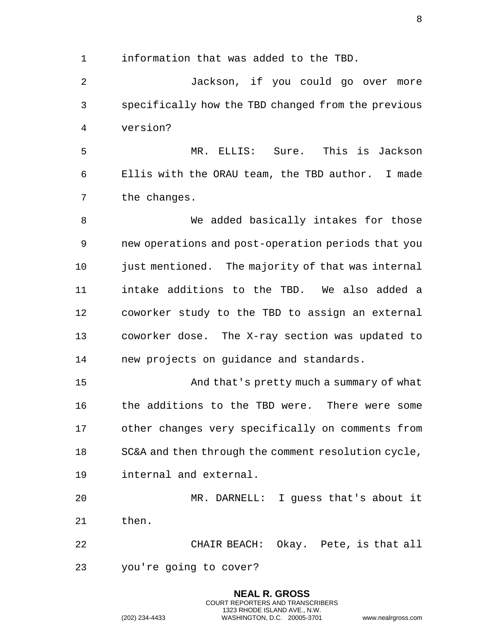1 information that was added to the TBD.

2 Jackson, if you could go over more 3 specifically how the TBD changed from the previous 4 version?

5 MR. ELLIS: Sure. This is Jackson 6 Ellis with the ORAU team, the TBD author. I made 7 the changes.

8 We added basically intakes for those 9 new operations and post-operation periods that you 10 just mentioned. The majority of that was internal 11 intake additions to the TBD. We also added a 12 coworker study to the TBD to assign an external 13 coworker dose. The X-ray section was updated to 14 new projects on guidance and standards.

15 And that's pretty much a summary of what 16 the additions to the TBD were. There were some 17 other changes very specifically on comments from 18 SC&A and then through the comment resolution cycle, 19 internal and external.

20 MR. DARNELL: I guess that's about it 21 then.

22 CHAIR BEACH: Okay. Pete, is that all

**NEAL R. GROSS** COURT REPORTERS AND TRANSCRIBERS 1323 RHODE ISLAND AVE., N.W.

23 you're going to cover?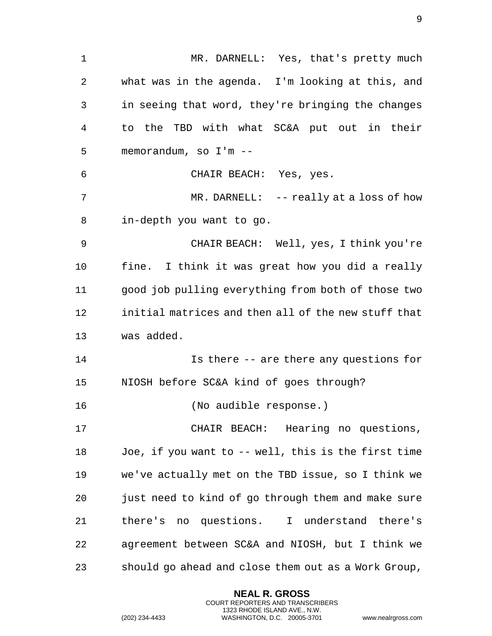1 MR. DARNELL: Yes, that's pretty much 2 what was in the agenda. I'm looking at this, and 3 in seeing that word, they're bringing the changes 4 to the TBD with what SC&A put out in their 5 memorandum, so I'm -- 6 CHAIR BEACH: Yes, yes. 7 MR. DARNELL: -- really at a loss of how 8 in-depth you want to go. 9 CHAIR BEACH: Well, yes, I think you're 10 fine. I think it was great how you did a really 11 good job pulling everything from both of those two 12 initial matrices and then all of the new stuff that 13 was added. 14 Is there -- are there any questions for 15 NIOSH before SC&A kind of goes through? 16 (No audible response.) 17 CHAIR BEACH: Hearing no questions, 18 Joe, if you want to -- well, this is the first time 19 we've actually met on the TBD issue, so I think we 20 just need to kind of go through them and make sure 21 there's no questions. I understand there's 22 agreement between SC&A and NIOSH, but I think we 23 should go ahead and close them out as a Work Group,

> **NEAL R. GROSS** COURT REPORTERS AND TRANSCRIBERS 1323 RHODE ISLAND AVE., N.W.

(202) 234-4433 WASHINGTON, D.C. 20005-3701 www.nealrgross.com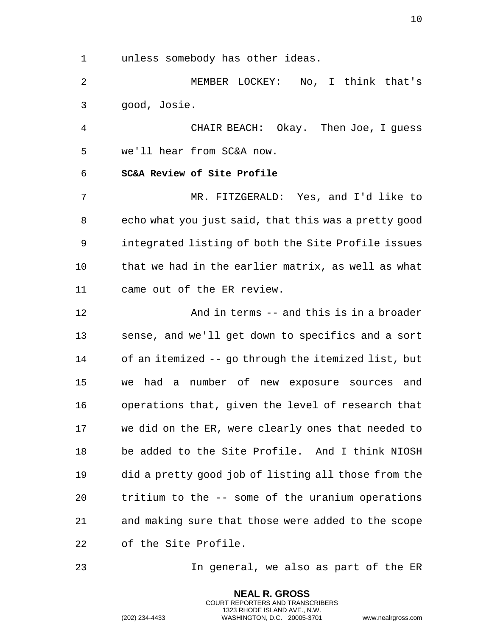1 unless somebody has other ideas.

2 MEMBER LOCKEY: No, I think that's 3 good, Josie.

4 CHAIR BEACH: Okay. Then Joe, I guess 5 we'll hear from SC&A now.

<span id="page-9-0"></span>6 **SC&A Review of Site Profile** 

7 MR. FITZGERALD: Yes, and I'd like to 8 echo what you just said, that this was a pretty good 9 integrated listing of both the Site Profile issues 10 that we had in the earlier matrix, as well as what 11 came out of the ER review.

12 And in terms -- and this is in a broader 13 sense, and we'll get down to specifics and a sort 14 of an itemized -- go through the itemized list, but 15 we had a number of new exposure sources and 16 operations that, given the level of research that 17 we did on the ER, were clearly ones that needed to 18 be added to the Site Profile. And I think NIOSH 19 did a pretty good job of listing all those from the 20 tritium to the -- some of the uranium operations 21 and making sure that those were added to the scope 22 of the Site Profile.

23 In general, we also as part of the ER

**NEAL R. GROSS** COURT REPORTERS AND TRANSCRIBERS 1323 RHODE ISLAND AVE., N.W.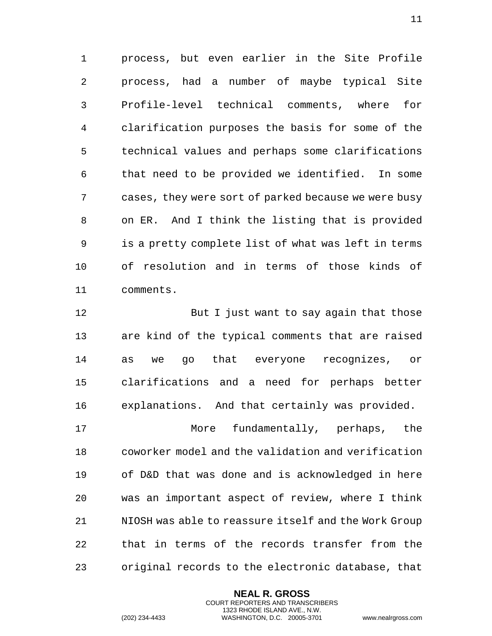1 process, but even earlier in the Site Profile 2 process, had a number of maybe typical Site 3 Profile-level technical comments, where for 4 clarification purposes the basis for some of the 5 technical values and perhaps some clarifications 6 that need to be provided we identified. In some 7 cases, they were sort of parked because we were busy 8 on ER. And I think the listing that is provided 9 is a pretty complete list of what was left in terms 10 of resolution and in terms of those kinds of 11 comments.

12 But I just want to say again that those 13 are kind of the typical comments that are raised 14 as we go that everyone recognizes, or 15 clarifications and a need for perhaps better 16 explanations. And that certainly was provided. 17 More fundamentally, perhaps, the 18 coworker model and the validation and verification 19 of D&D that was done and is acknowledged in here 20 was an important aspect of review, where I think 21 NIOSH was able to reassure itself and the Work Group 22 that in terms of the records transfer from the 23 original records to the electronic database, that

> **NEAL R. GROSS** COURT REPORTERS AND TRANSCRIBERS 1323 RHODE ISLAND AVE., N.W.

(202) 234-4433 WASHINGTON, D.C. 20005-3701 www.nealrgross.com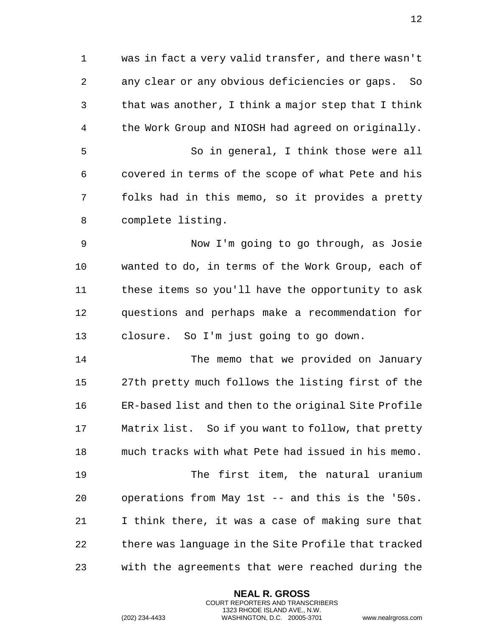1 was in fact a very valid transfer, and there wasn't 2 any clear or any obvious deficiencies or gaps. So 3 that was another, I think a major step that I think 4 the Work Group and NIOSH had agreed on originally. 5 So in general, I think those were all 6 covered in terms of the scope of what Pete and his 7 folks had in this memo, so it provides a pretty 8 complete listing.

9 Now I'm going to go through, as Josie 10 wanted to do, in terms of the Work Group, each of 11 these items so you'll have the opportunity to ask 12 questions and perhaps make a recommendation for 13 closure. So I'm just going to go down.

14 The memo that we provided on January 15 27th pretty much follows the listing first of the 16 ER-based list and then to the original Site Profile 17 Matrix list. So if you want to follow, that pretty 18 much tracks with what Pete had issued in his memo. 19 The first item, the natural uranium 20 operations from May 1st -- and this is the '50s. 21 I think there, it was a case of making sure that 22 there was language in the Site Profile that tracked

23 with the agreements that were reached during the

**NEAL R. GROSS** COURT REPORTERS AND TRANSCRIBERS 1323 RHODE ISLAND AVE., N.W.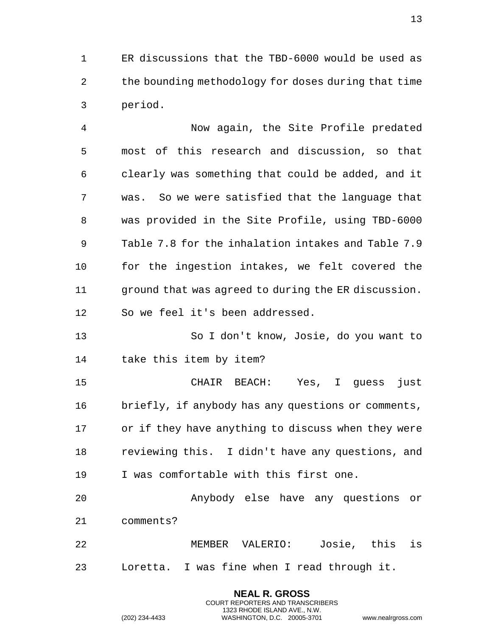1 ER discussions that the TBD-6000 would be used as 2 the bounding methodology for doses during that time 3 period.

4 Now again, the Site Profile predated 5 most of this research and discussion, so that 6 clearly was something that could be added, and it 7 was. So we were satisfied that the language that 8 was provided in the Site Profile, using TBD-6000 9 Table 7.8 for the inhalation intakes and Table 7.9 10 for the ingestion intakes, we felt covered the 11 ground that was agreed to during the ER discussion. 12 So we feel it's been addressed.

13 So I don't know, Josie, do you want to 14 take this item by item?

15 CHAIR BEACH: Yes, I guess just 16 briefly, if anybody has any questions or comments, 17 or if they have anything to discuss when they were 18 reviewing this. I didn't have any questions, and 19 I was comfortable with this first one.

20 Anybody else have any questions or 21 comments?

22 MEMBER VALERIO: Josie, this is 23 Loretta. I was fine when I read through it.

> **NEAL R. GROSS** COURT REPORTERS AND TRANSCRIBERS 1323 RHODE ISLAND AVE., N.W.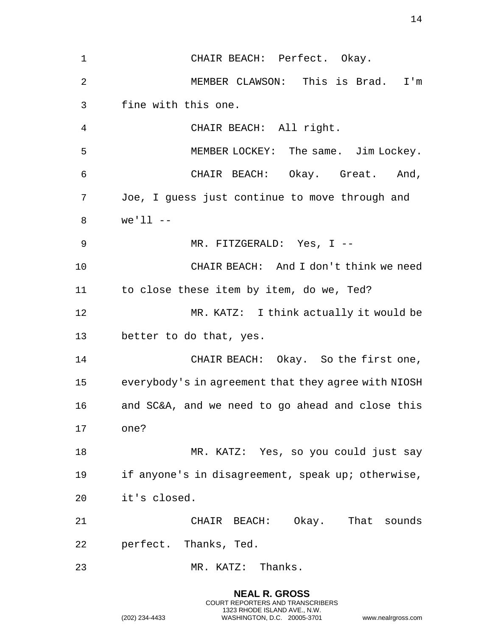1 CHAIR BEACH: Perfect. Okay. 2 MEMBER CLAWSON: This is Brad. I'm 3 fine with this one. 4 CHAIR BEACH: All right. 5 MEMBER LOCKEY: The same. Jim Lockey. 6 CHAIR BEACH: Okay. Great. And, 7 Joe, I guess just continue to move through and 8 we'll -- 9 MR. FITZGERALD: Yes, I -- 10 CHAIR BEACH: And I don't think we need 11 to close these item by item, do we, Ted? 12 MR. KATZ: I think actually it would be 13 better to do that, yes. 14 CHAIR BEACH: Okay. So the first one, 15 everybody's in agreement that they agree with NIOSH 16 and SC&A, and we need to go ahead and close this 17 one? 18 MR. KATZ: Yes, so you could just say 19 if anyone's in disagreement, speak up; otherwise, 20 it's closed. 21 CHAIR BEACH: Okay. That sounds 22 perfect. Thanks, Ted. 23 MR. KATZ: Thanks.

> **NEAL R. GROSS** COURT REPORTERS AND TRANSCRIBERS 1323 RHODE ISLAND AVE., N.W.

(202) 234-4433 WASHINGTON, D.C. 20005-3701 www.nealrgross.com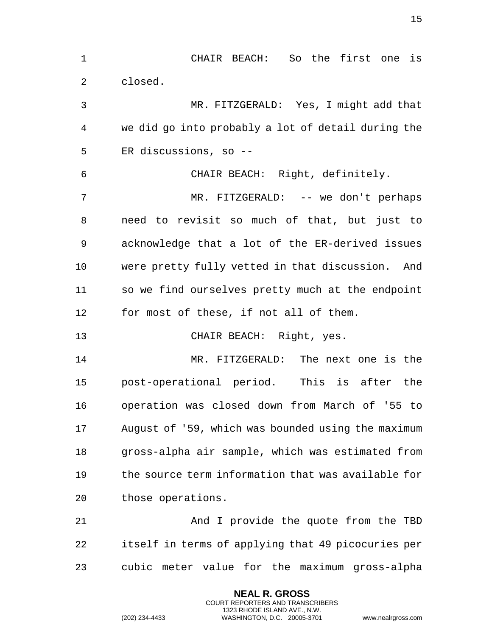1 CHAIR BEACH: So the first one is 2 closed. 3 MR. FITZGERALD: Yes, I might add that 4 we did go into probably a lot of detail during the 5 ER discussions, so -- 6 CHAIR BEACH: Right, definitely. 7 MR. FITZGERALD: -- we don't perhaps 8 need to revisit so much of that, but just to 9 acknowledge that a lot of the ER-derived issues 10 were pretty fully vetted in that discussion. And 11 so we find ourselves pretty much at the endpoint 12 for most of these, if not all of them. 13 CHAIR BEACH: Right, yes. 14 MR. FITZGERALD: The next one is the 15 post-operational period. This is after the 16 operation was closed down from March of '55 to 17 August of '59, which was bounded using the maximum 18 gross-alpha air sample, which was estimated from 19 the source term information that was available for 20 those operations. 21 And I provide the quote from the TBD 22 itself in terms of applying that 49 picocuries per 23 cubic meter value for the maximum gross-alpha

> **NEAL R. GROSS** COURT REPORTERS AND TRANSCRIBERS 1323 RHODE ISLAND AVE., N.W.

(202) 234-4433 WASHINGTON, D.C. 20005-3701 www.nealrgross.com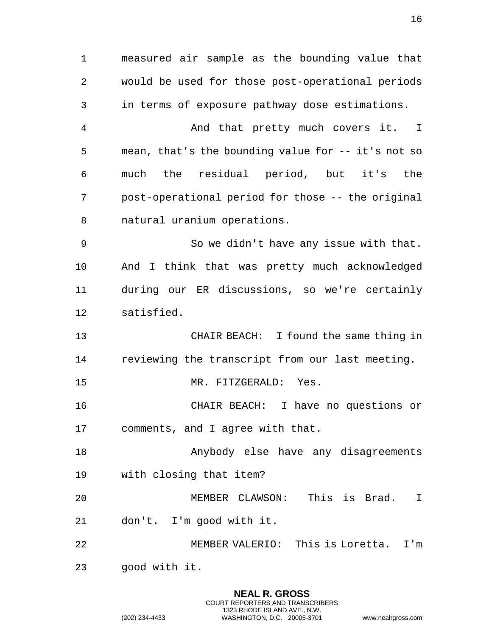1 measured air sample as the bounding value that 2 would be used for those post-operational periods 3 in terms of exposure pathway dose estimations. 4 And that pretty much covers it. I 5 mean, that's the bounding value for -- it's not so 6 much the residual period, but it's the 7 post-operational period for those -- the original 8 natural uranium operations. 9 So we didn't have any issue with that. 10 And I think that was pretty much acknowledged 11 during our ER discussions, so we're certainly 12 satisfied. 13 CHAIR BEACH: I found the same thing in 14 reviewing the transcript from our last meeting. 15 MR. FITZGERALD: Yes. 16 CHAIR BEACH: I have no questions or 17 comments, and I agree with that. 18 Anybody else have any disagreements 19 with closing that item? 20 MEMBER CLAWSON: This is Brad. I 21 don't. I'm good with it. 22 MEMBER VALERIO: This is Loretta. I'm 23 good with it.

> **NEAL R. GROSS** COURT REPORTERS AND TRANSCRIBERS 1323 RHODE ISLAND AVE., N.W.

(202) 234-4433 WASHINGTON, D.C. 20005-3701 www.nealrgross.com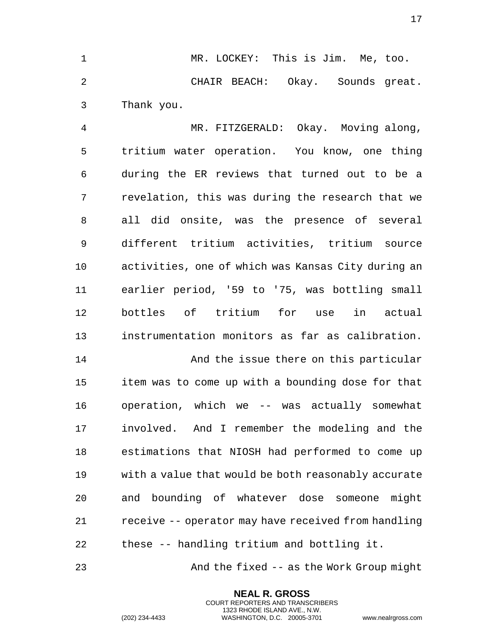1 MR. LOCKEY: This is Jim. Me, too. 2 CHAIR BEACH: Okay. Sounds great. 3 Thank you.

4 MR. FITZGERALD: Okay. Moving along, 5 tritium water operation. You know, one thing 6 during the ER reviews that turned out to be a 7 revelation, this was during the research that we 8 all did onsite, was the presence of several 9 different tritium activities, tritium source 10 activities, one of which was Kansas City during an 11 earlier period, '59 to '75, was bottling small 12 bottles of tritium for use in actual 13 instrumentation monitors as far as calibration.

14 And the issue there on this particular 15 item was to come up with a bounding dose for that 16 operation, which we -- was actually somewhat 17 involved. And I remember the modeling and the 18 estimations that NIOSH had performed to come up 19 with a value that would be both reasonably accurate 20 and bounding of whatever dose someone might 21 receive -- operator may have received from handling 22 these -- handling tritium and bottling it.

23 And the fixed -- as the Work Group might

**NEAL R. GROSS** COURT REPORTERS AND TRANSCRIBERS 1323 RHODE ISLAND AVE., N.W.

(202) 234-4433 WASHINGTON, D.C. 20005-3701 www.nealrgross.com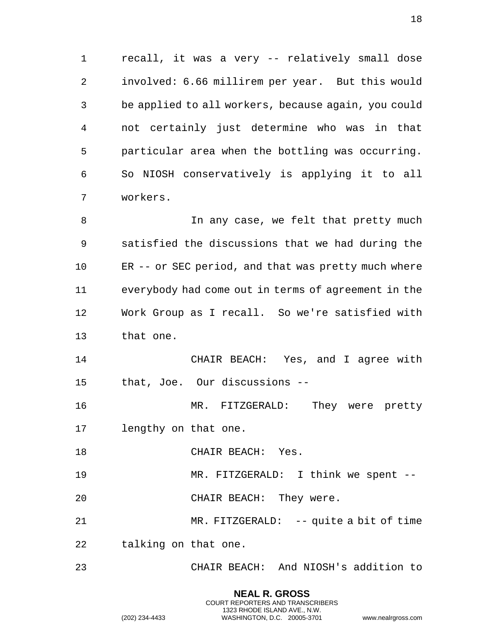1 recall, it was a very -- relatively small dose 2 involved: 6.66 millirem per year. But this would 3 be applied to all workers, because again, you could 4 not certainly just determine who was in that 5 particular area when the bottling was occurring. 6 So NIOSH conservatively is applying it to all 7 workers.

8 In any case, we felt that pretty much 9 satisfied the discussions that we had during the 10 ER -- or SEC period, and that was pretty much where 11 everybody had come out in terms of agreement in the 12 Work Group as I recall. So we're satisfied with 13 that one.

14 CHAIR BEACH: Yes, and I agree with 15 that, Joe. Our discussions --

16 MR. FITZGERALD: They were pretty 17 lengthy on that one.

18 CHAIR BEACH: Yes.

19 MR. FITZGERALD: I think we spent --

20 CHAIR BEACH: They were.

21 MR. FITZGERALD: -- quite a bit of time 22 talking on that one.

23 CHAIR BEACH: And NIOSH's addition to

**NEAL R. GROSS** COURT REPORTERS AND TRANSCRIBERS 1323 RHODE ISLAND AVE., N.W.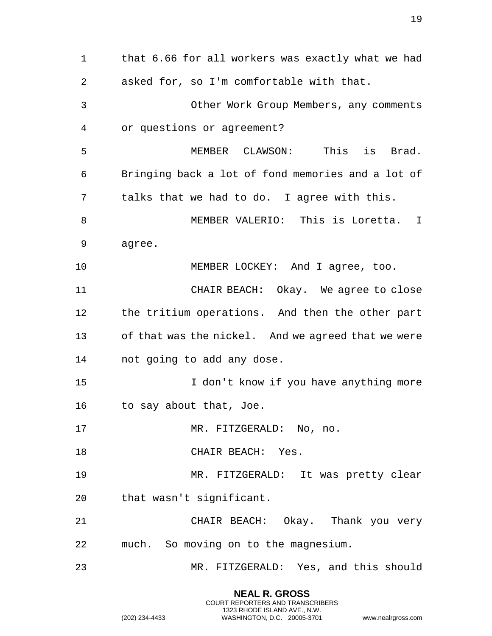1 that 6.66 for all workers was exactly what we had 2 asked for, so I'm comfortable with that. 3 Other Work Group Members, any comments 4 or questions or agreement? 5 MEMBER CLAWSON: This is Brad. 6 Bringing back a lot of fond memories and a lot of 7 talks that we had to do. I agree with this. 8 MEMBER VALERIO: This is Loretta. I 9 agree. 10 MEMBER LOCKEY: And I agree, too. 11 CHAIR BEACH: Okay. We agree to close 12 the tritium operations. And then the other part 13 of that was the nickel. And we agreed that we were 14 not going to add any dose. 15 I don't know if you have anything more 16 to say about that, Joe. 17 MR. FITZGERALD: No, no. 18 CHAIR BEACH: Yes. 19 MR. FITZGERALD: It was pretty clear 20 that wasn't significant. 21 CHAIR BEACH: Okay. Thank you very 22 much. So moving on to the magnesium. 23 MR. FITZGERALD: Yes, and this should

> **NEAL R. GROSS** COURT REPORTERS AND TRANSCRIBERS 1323 RHODE ISLAND AVE., N.W.

(202) 234-4433 WASHINGTON, D.C. 20005-3701 www.nealrgross.com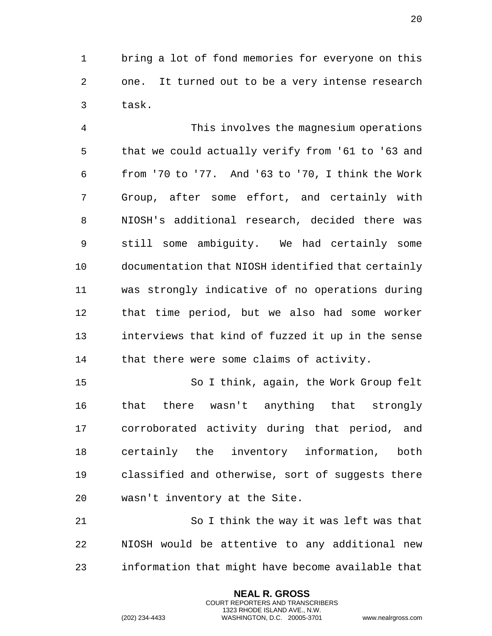1 bring a lot of fond memories for everyone on this 2 one. It turned out to be a very intense research 3 task.

4 This involves the magnesium operations 5 that we could actually verify from '61 to '63 and 6 from '70 to '77. And '63 to '70, I think the Work 7 Group, after some effort, and certainly with 8 NIOSH's additional research, decided there was 9 still some ambiguity. We had certainly some 10 documentation that NIOSH identified that certainly 11 was strongly indicative of no operations during 12 that time period, but we also had some worker 13 interviews that kind of fuzzed it up in the sense 14 that there were some claims of activity.

15 So I think, again, the Work Group felt 16 that there wasn't anything that strongly 17 corroborated activity during that period, and 18 certainly the inventory information, both 19 classified and otherwise, sort of suggests there 20 wasn't inventory at the Site.

21 So I think the way it was left was that 22 NIOSH would be attentive to any additional new 23 information that might have become available that

> **NEAL R. GROSS** COURT REPORTERS AND TRANSCRIBERS 1323 RHODE ISLAND AVE., N.W.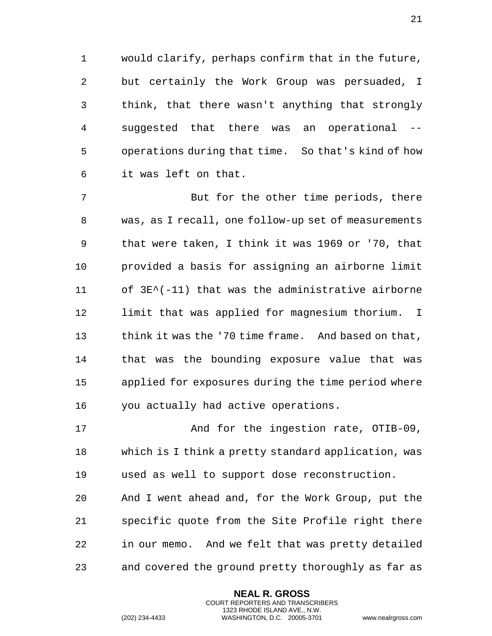1 would clarify, perhaps confirm that in the future, 2 but certainly the Work Group was persuaded, I 3 think, that there wasn't anything that strongly 4 suggested that there was an operational -- 5 operations during that time. So that's kind of how 6 it was left on that.

7 But for the other time periods, there 8 was, as I recall, one follow-up set of measurements 9 that were taken, I think it was 1969 or '70, that 10 provided a basis for assigning an airborne limit 11 of 3E^(-11) that was the administrative airborne 12 limit that was applied for magnesium thorium. I 13 think it was the '70 time frame. And based on that, 14 that was the bounding exposure value that was 15 applied for exposures during the time period where 16 you actually had active operations.

17 And for the ingestion rate, OTIB-09, 18 which is I think a pretty standard application, was 19 used as well to support dose reconstruction. 20 And I went ahead and, for the Work Group, put the 21 specific quote from the Site Profile right there 22 in our memo. And we felt that was pretty detailed 23 and covered the ground pretty thoroughly as far as

> **NEAL R. GROSS** COURT REPORTERS AND TRANSCRIBERS 1323 RHODE ISLAND AVE., N.W.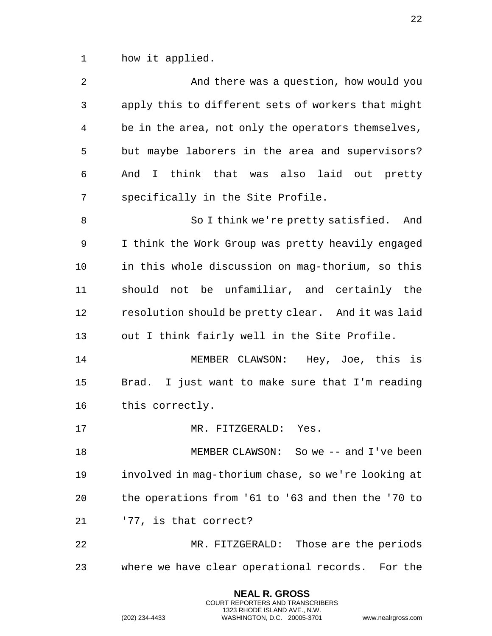1 how it applied.

| 2              | And there was a question, how would you            |
|----------------|----------------------------------------------------|
| $\mathfrak{Z}$ | apply this to different sets of workers that might |
| 4              | be in the area, not only the operators themselves, |
| 5              | but maybe laborers in the area and supervisors?    |
| 6              | And I think that was also laid out pretty          |
| 7              | specifically in the Site Profile.                  |
| 8              | So I think we're pretty satisfied.<br>And          |
| 9              | I think the Work Group was pretty heavily engaged  |
| 10             | in this whole discussion on mag-thorium, so this   |
| 11             | should not be unfamiliar, and certainly the        |
| 12             | resolution should be pretty clear. And it was laid |
| 13             | out I think fairly well in the Site Profile.       |
| 14             | MEMBER CLAWSON: Hey, Joe, this is                  |
| 15             | Brad. I just want to make sure that I'm reading    |
| 16             | this correctly.                                    |
| 17             | MR. FITZGERALD: Yes.                               |
| 18             | MEMBER CLAWSON: So we -- and I've been             |
| 19             | involved in mag-thorium chase, so we're looking at |
| 20             | the operations from '61 to '63 and then the '70 to |
| 21             | '77, is that correct?                              |
| 22             | MR. FITZGERALD: Those are the periods              |
| 23             | where we have clear operational records. For the   |
|                |                                                    |

**NEAL R. GROSS** COURT REPORTERS AND TRANSCRIBERS 1323 RHODE ISLAND AVE., N.W.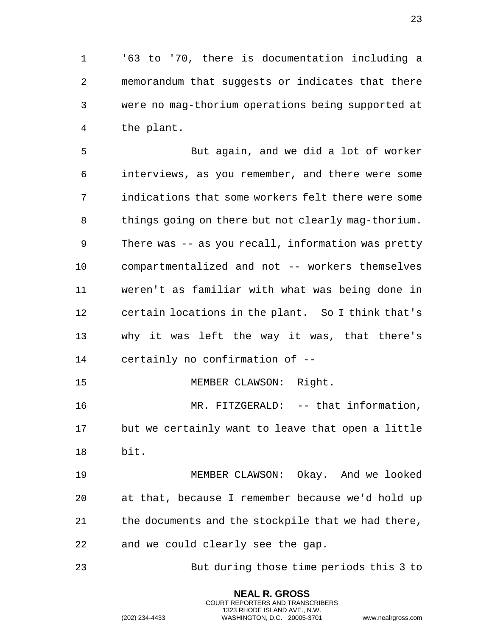1 '63 to '70, there is documentation including a 2 memorandum that suggests or indicates that there 3 were no mag-thorium operations being supported at 4 the plant.

5 But again, and we did a lot of worker 6 interviews, as you remember, and there were some 7 indications that some workers felt there were some 8 things going on there but not clearly mag-thorium. 9 There was -- as you recall, information was pretty 10 compartmentalized and not -- workers themselves 11 weren't as familiar with what was being done in 12 certain locations in the plant. So I think that's 13 why it was left the way it was, that there's 14 certainly no confirmation of --

15 MEMBER CLAWSON: Right. 16 MR. FITZGERALD: -- that information,

17 but we certainly want to leave that open a little 18 bit.

19 MEMBER CLAWSON: Okay. And we looked 20 at that, because I remember because we'd hold up 21 the documents and the stockpile that we had there, 22 and we could clearly see the gap.

23 But during those time periods this 3 to

**NEAL R. GROSS** COURT REPORTERS AND TRANSCRIBERS 1323 RHODE ISLAND AVE., N.W.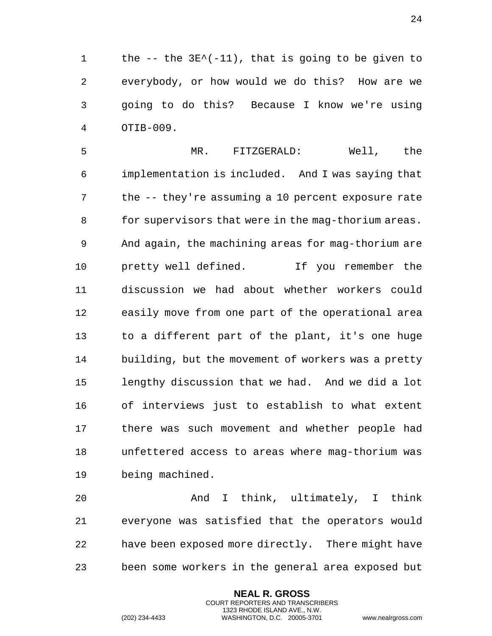the -- the 3E^(-11), that is going to be given to everybody, or how would we do this? How are we going to do this? Because I know we're using OTIB-009.

 MR. FITZGERALD: Well, the implementation is included. And I was saying that the -- they're assuming a 10 percent exposure rate 8 for supervisors that were in the mag-thorium areas. And again, the machining areas for mag-thorium are pretty well defined. If you remember the discussion we had about whether workers could easily move from one part of the operational area to a different part of the plant, it's one huge building, but the movement of workers was a pretty lengthy discussion that we had. And we did a lot of interviews just to establish to what extent there was such movement and whether people had unfettered access to areas where mag-thorium was being machined.

 And I think, ultimately, I think everyone was satisfied that the operators would have been exposed more directly. There might have been some workers in the general area exposed but

> **NEAL R. GROSS** COURT REPORTERS AND TRANSCRIBERS 1323 RHODE ISLAND AVE., N.W.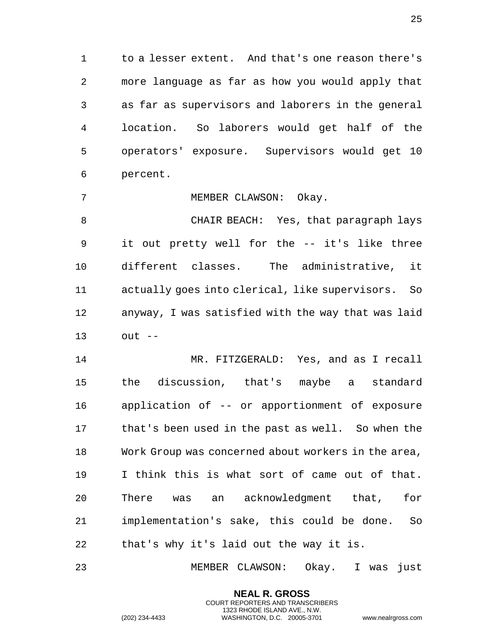to a lesser extent. And that's one reason there's more language as far as how you would apply that as far as supervisors and laborers in the general location. So laborers would get half of the operators' exposure. Supervisors would get 10 percent.

MEMBER CLAWSON: Okay.

 CHAIR BEACH: Yes, that paragraph lays it out pretty well for the -- it's like three different classes. The administrative, it actually goes into clerical, like supervisors. So anyway, I was satisfied with the way that was laid out --

 MR. FITZGERALD: Yes, and as I recall the discussion, that's maybe a standard application of -- or apportionment of exposure that's been used in the past as well. So when the Work Group was concerned about workers in the area, I think this is what sort of came out of that. There was an acknowledgment that, for implementation's sake, this could be done. So that's why it's laid out the way it is.

MEMBER CLAWSON: Okay. I was just

**NEAL R. GROSS** COURT REPORTERS AND TRANSCRIBERS 1323 RHODE ISLAND AVE., N.W.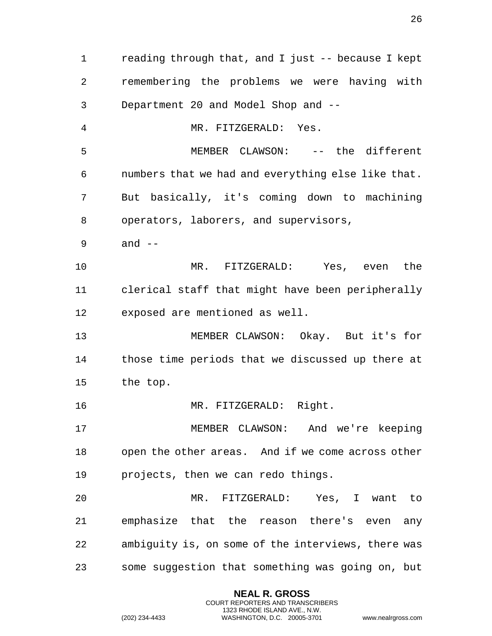reading through that, and I just -- because I kept remembering the problems we were having with Department 20 and Model Shop and -- MR. FITZGERALD: Yes. MEMBER CLAWSON: -- the different numbers that we had and everything else like that. But basically, it's coming down to machining operators, laborers, and supervisors, and -- MR. FITZGERALD: Yes, even the clerical staff that might have been peripherally exposed are mentioned as well. MEMBER CLAWSON: Okay. But it's for those time periods that we discussed up there at the top. 16 MR. FITZGERALD: Right. MEMBER CLAWSON: And we're keeping open the other areas. And if we come across other projects, then we can redo things. MR. FITZGERALD: Yes, I want to emphasize that the reason there's even any ambiguity is, on some of the interviews, there was some suggestion that something was going on, but

> **NEAL R. GROSS** COURT REPORTERS AND TRANSCRIBERS 1323 RHODE ISLAND AVE., N.W.

(202) 234-4433 WASHINGTON, D.C. 20005-3701 www.nealrgross.com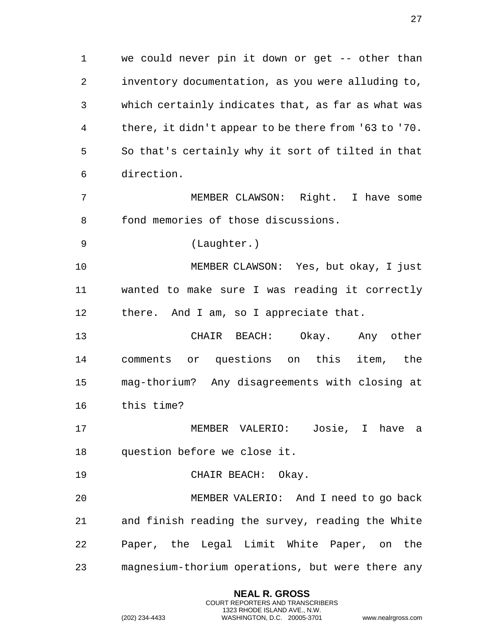we could never pin it down or get -- other than inventory documentation, as you were alluding to, which certainly indicates that, as far as what was there, it didn't appear to be there from '63 to '70. So that's certainly why it sort of tilted in that direction. MEMBER CLAWSON: Right. I have some fond memories of those discussions. (Laughter.) MEMBER CLAWSON: Yes, but okay, I just wanted to make sure I was reading it correctly there. And I am, so I appreciate that. CHAIR BEACH: Okay. Any other comments or questions on this item, the mag-thorium? Any disagreements with closing at this time?

 MEMBER VALERIO: Josie, I have a question before we close it.

CHAIR BEACH: Okay.

 MEMBER VALERIO: And I need to go back and finish reading the survey, reading the White Paper, the Legal Limit White Paper, on the magnesium-thorium operations, but were there any

> **NEAL R. GROSS** COURT REPORTERS AND TRANSCRIBERS 1323 RHODE ISLAND AVE., N.W.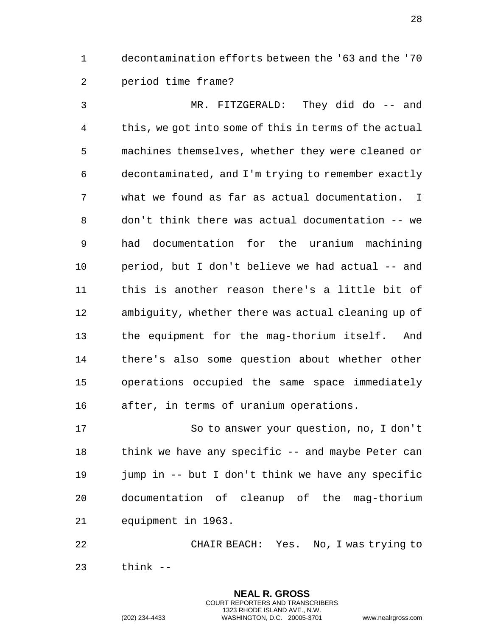decontamination efforts between the '63 and the '70 period time frame?

 MR. FITZGERALD: They did do -- and this, we got into some of this in terms of the actual machines themselves, whether they were cleaned or decontaminated, and I'm trying to remember exactly what we found as far as actual documentation. I don't think there was actual documentation -- we had documentation for the uranium machining period, but I don't believe we had actual -- and this is another reason there's a little bit of ambiguity, whether there was actual cleaning up of the equipment for the mag-thorium itself. And there's also some question about whether other operations occupied the same space immediately after, in terms of uranium operations.

 So to answer your question, no, I don't 18 think we have any specific -- and maybe Peter can jump in -- but I don't think we have any specific documentation of cleanup of the mag-thorium equipment in 1963.

 CHAIR BEACH: Yes. No, I was trying to think --

> **NEAL R. GROSS** COURT REPORTERS AND TRANSCRIBERS 1323 RHODE ISLAND AVE., N.W.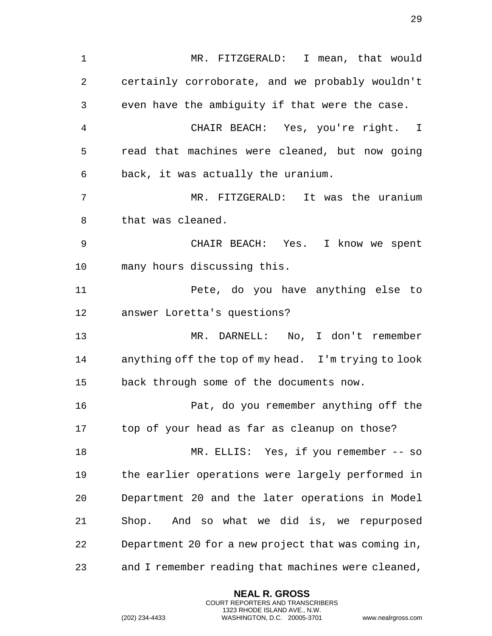MR. FITZGERALD: I mean, that would certainly corroborate, and we probably wouldn't even have the ambiguity if that were the case. CHAIR BEACH: Yes, you're right. I read that machines were cleaned, but now going back, it was actually the uranium. MR. FITZGERALD: It was the uranium that was cleaned. CHAIR BEACH: Yes. I know we spent many hours discussing this. Pete, do you have anything else to answer Loretta's questions? MR. DARNELL: No, I don't remember anything off the top of my head. I'm trying to look back through some of the documents now. Pat, do you remember anything off the top of your head as far as cleanup on those? MR. ELLIS: Yes, if you remember -- so the earlier operations were largely performed in Department 20 and the later operations in Model Shop. And so what we did is, we repurposed Department 20 for a new project that was coming in, and I remember reading that machines were cleaned,

> **NEAL R. GROSS** COURT REPORTERS AND TRANSCRIBERS 1323 RHODE ISLAND AVE., N.W.

(202) 234-4433 WASHINGTON, D.C. 20005-3701 www.nealrgross.com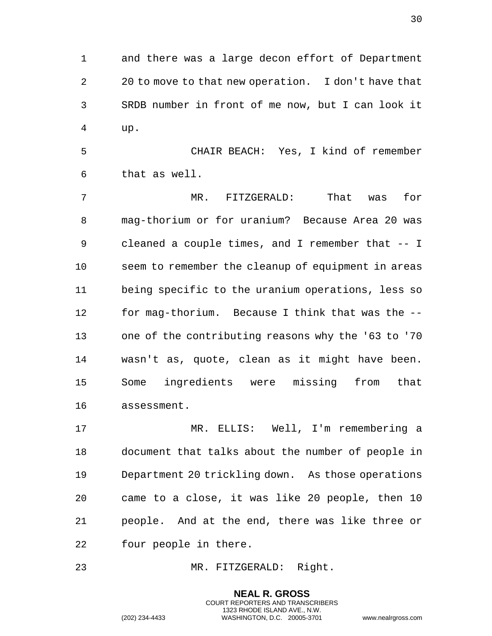and there was a large decon effort of Department 20 to move to that new operation. I don't have that SRDB number in front of me now, but I can look it up.

 CHAIR BEACH: Yes, I kind of remember that as well.

 MR. FITZGERALD: That was for mag-thorium or for uranium? Because Area 20 was cleaned a couple times, and I remember that -- I seem to remember the cleanup of equipment in areas being specific to the uranium operations, less so for mag-thorium. Because I think that was the -- one of the contributing reasons why the '63 to '70 wasn't as, quote, clean as it might have been. Some ingredients were missing from that assessment.

 MR. ELLIS: Well, I'm remembering a document that talks about the number of people in Department 20 trickling down. As those operations came to a close, it was like 20 people, then 10 people. And at the end, there was like three or four people in there.

> **NEAL R. GROSS** COURT REPORTERS AND TRANSCRIBERS 1323 RHODE ISLAND AVE., N.W.

MR. FITZGERALD: Right.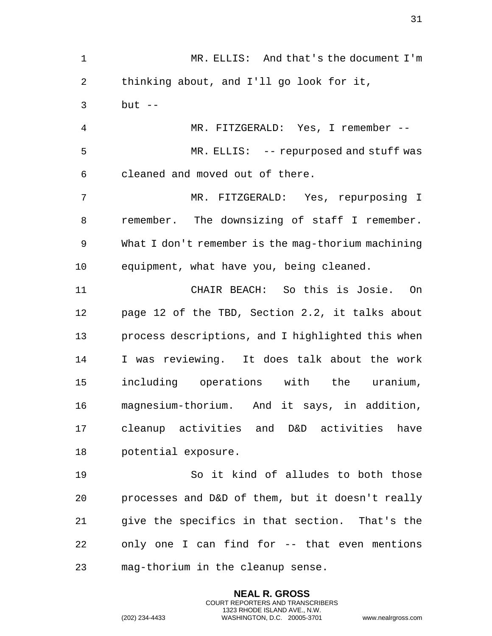MR. ELLIS: And that's the document I'm thinking about, and I'll go look for it, but -- MR. FITZGERALD: Yes, I remember -- MR. ELLIS: -- repurposed and stuff was cleaned and moved out of there. MR. FITZGERALD: Yes, repurposing I remember. The downsizing of staff I remember. What I don't remember is the mag-thorium machining equipment, what have you, being cleaned. CHAIR BEACH: So this is Josie. On page 12 of the TBD, Section 2.2, it talks about process descriptions, and I highlighted this when I was reviewing. It does talk about the work including operations with the uranium, magnesium-thorium. And it says, in addition, cleanup activities and D&D activities have potential exposure. So it kind of alludes to both those processes and D&D of them, but it doesn't really give the specifics in that section. That's the

mag-thorium in the cleanup sense.

**NEAL R. GROSS** COURT REPORTERS AND TRANSCRIBERS 1323 RHODE ISLAND AVE., N.W.

only one I can find for -- that even mentions

(202) 234-4433 WASHINGTON, D.C. 20005-3701 www.nealrgross.com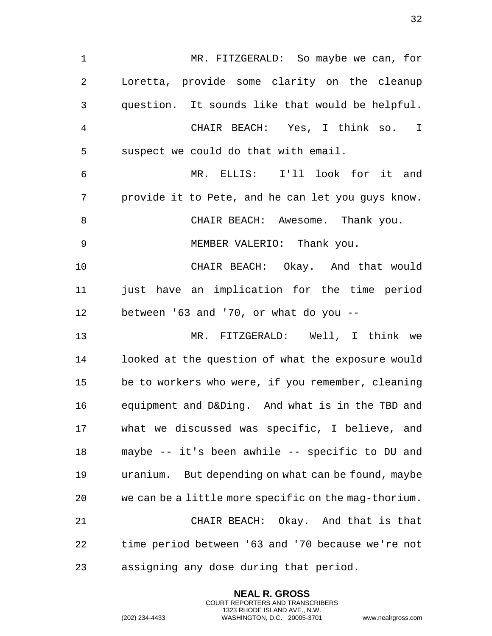1 MR. FITZGERALD: So maybe we can, for 2 Loretta, provide some clarity on the cleanup 3 question. It sounds like that would be helpful. 4 CHAIR BEACH: Yes, I think so. I 5 suspect we could do that with email. 6 MR. ELLIS: I'll look for it and 7 provide it to Pete, and he can let you guys know. 8 CHAIR BEACH: Awesome. Thank you. 9 MEMBER VALERIO: Thank you. 10 CHAIR BEACH: Okay. And that would 11 just have an implication for the time period 12 between '63 and '70, or what do you -- 13 MR. FITZGERALD: Well, I think we 14 looked at the question of what the exposure would 15 be to workers who were, if you remember, cleaning 16 equipment and D&Ding. And what is in the TBD and 17 what we discussed was specific, I believe, and 18 maybe -- it's been awhile -- specific to DU and 19 uranium. But depending on what can be found, maybe 20 we can be a little more specific on the mag-thorium. 21 CHAIR BEACH: Okay. And that is that 22 time period between '63 and '70 because we're not 23 assigning any dose during that period.

> **NEAL R. GROSS** COURT REPORTERS AND TRANSCRIBERS 1323 RHODE ISLAND AVE., N.W.

(202) 234-4433 WASHINGTON, D.C. 20005-3701 www.nealrgross.com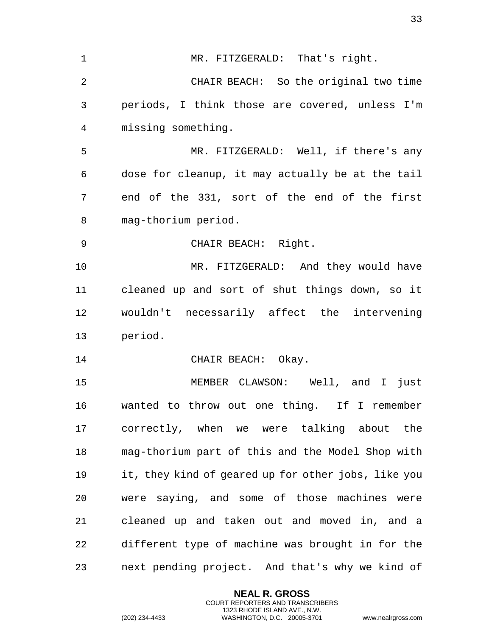1 MR. FITZGERALD: That's right. 2 CHAIR BEACH: So the original two time 3 periods, I think those are covered, unless I'm 4 missing something. 5 MR. FITZGERALD: Well, if there's any 6 dose for cleanup, it may actually be at the tail 7 end of the 331, sort of the end of the first 8 mag-thorium period. 9 CHAIR BEACH: Right. 10 MR. FITZGERALD: And they would have 11 cleaned up and sort of shut things down, so it 12 wouldn't necessarily affect the intervening 13 period. 14 CHAIR BEACH: Okay. 15 MEMBER CLAWSON: Well, and I just 16 wanted to throw out one thing. If I remember 17 correctly, when we were talking about the 18 mag-thorium part of this and the Model Shop with 19 it, they kind of geared up for other jobs, like you 20 were saying, and some of those machines were 21 cleaned up and taken out and moved in, and a 22 different type of machine was brought in for the 23 next pending project. And that's why we kind of

> **NEAL R. GROSS** COURT REPORTERS AND TRANSCRIBERS 1323 RHODE ISLAND AVE., N.W.

(202) 234-4433 WASHINGTON, D.C. 20005-3701 www.nealrgross.com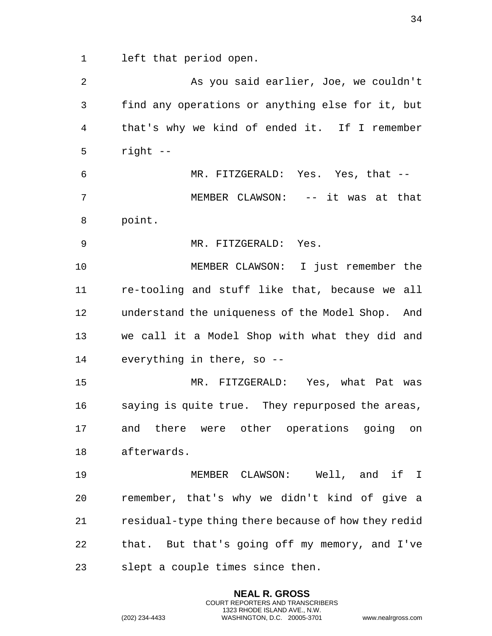left that period open.

 As you said earlier, Joe, we couldn't find any operations or anything else for it, but that's why we kind of ended it. If I remember right -- MR. FITZGERALD: Yes. Yes, that -- MEMBER CLAWSON: -- it was at that point. MR. FITZGERALD: Yes. MEMBER CLAWSON: I just remember the re-tooling and stuff like that, because we all understand the uniqueness of the Model Shop. And we call it a Model Shop with what they did and everything in there, so -- MR. FITZGERALD: Yes, what Pat was saying is quite true. They repurposed the areas, and there were other operations going on afterwards. MEMBER CLAWSON: Well, and if I remember, that's why we didn't kind of give a residual-type thing there because of how they redid that. But that's going off my memory, and I've slept a couple times since then.

> **NEAL R. GROSS** COURT REPORTERS AND TRANSCRIBERS 1323 RHODE ISLAND AVE., N.W.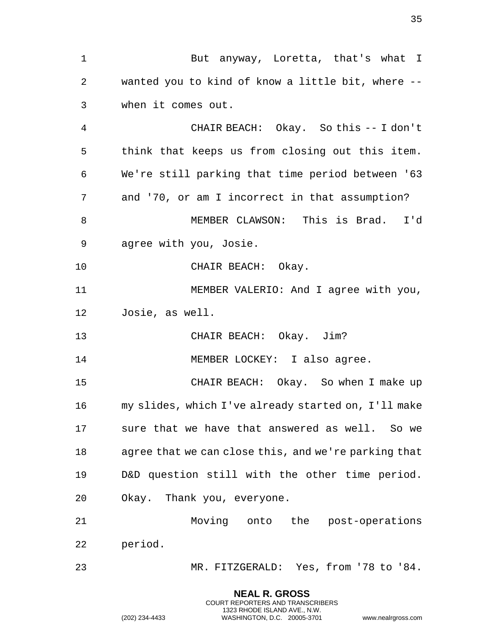**NEAL R. GROSS** 1 But anyway, Loretta, that's what I wanted you to kind of know a little bit, where -- when it comes out. CHAIR BEACH: Okay. So this -- I don't think that keeps us from closing out this item. We're still parking that time period between '63 and '70, or am I incorrect in that assumption? MEMBER CLAWSON: This is Brad. I'd agree with you, Josie. CHAIR BEACH: Okay. MEMBER VALERIO: And I agree with you, Josie, as well. 13 CHAIR BEACH: Okay. Jim? 14 MEMBER LOCKEY: I also agree. CHAIR BEACH: Okay. So when I make up my slides, which I've already started on, I'll make sure that we have that answered as well. So we agree that we can close this, and we're parking that D&D question still with the other time period. Okay. Thank you, everyone. Moving onto the post-operations period. MR. FITZGERALD: Yes, from '78 to '84.

COURT REPORTERS AND TRANSCRIBERS 1323 RHODE ISLAND AVE., N.W.

(202) 234-4433 WASHINGTON, D.C. 20005-3701 www.nealrgross.com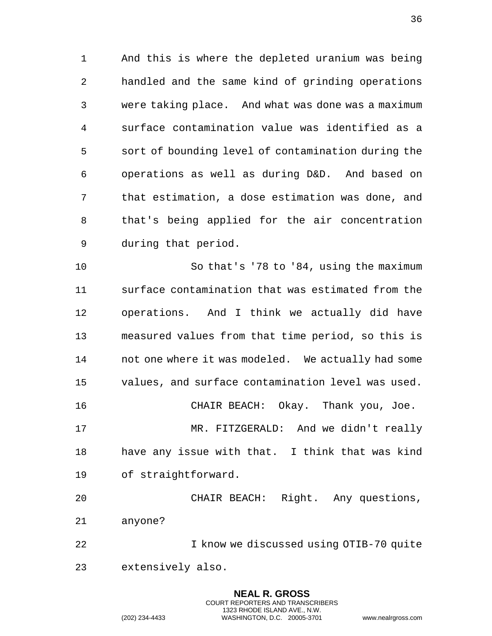And this is where the depleted uranium was being handled and the same kind of grinding operations were taking place. And what was done was a maximum surface contamination value was identified as a sort of bounding level of contamination during the operations as well as during D&D. And based on that estimation, a dose estimation was done, and that's being applied for the air concentration during that period.

 So that's '78 to '84, using the maximum surface contamination that was estimated from the operations. And I think we actually did have measured values from that time period, so this is not one where it was modeled. We actually had some values, and surface contamination level was used. CHAIR BEACH: Okay. Thank you, Joe.

 MR. FITZGERALD: And we didn't really have any issue with that. I think that was kind of straightforward.

 CHAIR BEACH: Right. Any questions, anyone?

 I know we discussed using OTIB-70 quite extensively also.

> **NEAL R. GROSS** COURT REPORTERS AND TRANSCRIBERS 1323 RHODE ISLAND AVE., N.W.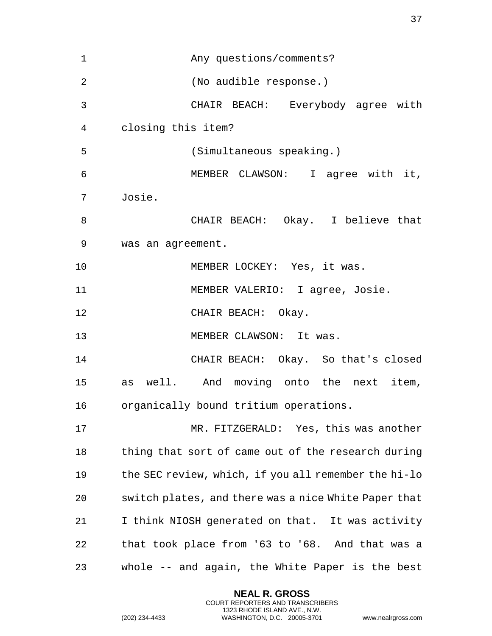Any questions/comments? (No audible response.) CHAIR BEACH: Everybody agree with closing this item? (Simultaneous speaking.) MEMBER CLAWSON: I agree with it, Josie. CHAIR BEACH: Okay. I believe that was an agreement. 10 MEMBER LOCKEY: Yes, it was. MEMBER VALERIO: I agree, Josie. 12 CHAIR BEACH: Okay. 13 MEMBER CLAWSON: It was. CHAIR BEACH: Okay. So that's closed as well. And moving onto the next item, organically bound tritium operations. MR. FITZGERALD: Yes, this was another thing that sort of came out of the research during the SEC review, which, if you all remember the hi-lo switch plates, and there was a nice White Paper that I think NIOSH generated on that. It was activity that took place from '63 to '68. And that was a whole -- and again, the White Paper is the best

> **NEAL R. GROSS** COURT REPORTERS AND TRANSCRIBERS 1323 RHODE ISLAND AVE., N.W.

(202) 234-4433 WASHINGTON, D.C. 20005-3701 www.nealrgross.com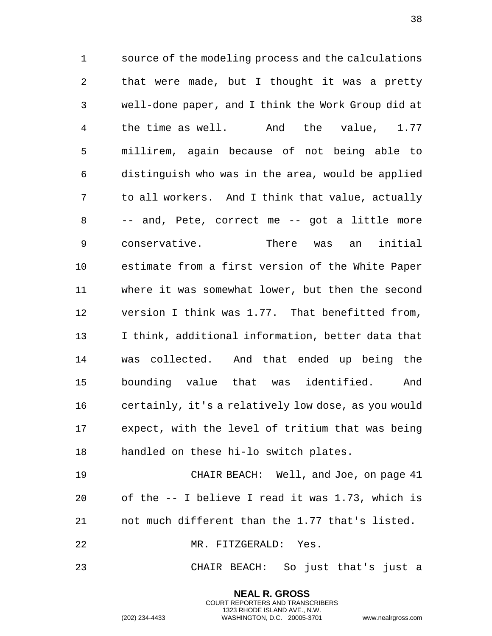source of the modeling process and the calculations that were made, but I thought it was a pretty well-done paper, and I think the Work Group did at the time as well. And the value, 1.77 millirem, again because of not being able to distinguish who was in the area, would be applied to all workers. And I think that value, actually -- and, Pete, correct me -- got a little more conservative. There was an initial estimate from a first version of the White Paper where it was somewhat lower, but then the second version I think was 1.77. That benefitted from, I think, additional information, better data that was collected. And that ended up being the bounding value that was identified. And certainly, it's a relatively low dose, as you would expect, with the level of tritium that was being handled on these hi-lo switch plates.

 CHAIR BEACH: Well, and Joe, on page 41 of the -- I believe I read it was 1.73, which is not much different than the 1.77 that's listed. MR. FITZGERALD: Yes.

CHAIR BEACH: So just that's just a

**NEAL R. GROSS** COURT REPORTERS AND TRANSCRIBERS 1323 RHODE ISLAND AVE., N.W.

(202) 234-4433 WASHINGTON, D.C. 20005-3701 www.nealrgross.com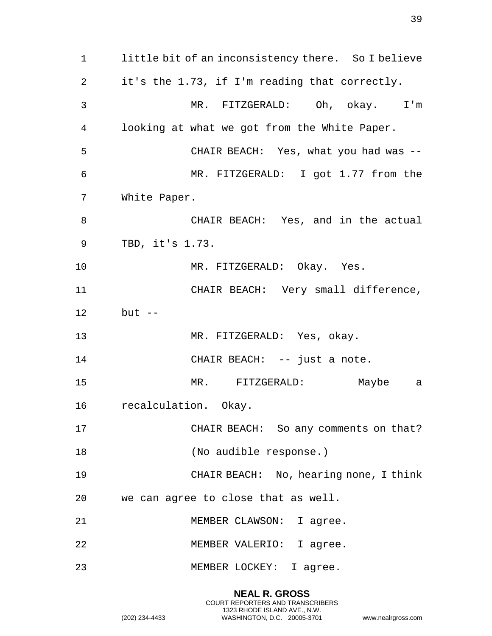little bit of an inconsistency there. So I believe it's the 1.73, if I'm reading that correctly. MR. FITZGERALD: Oh, okay. I'm looking at what we got from the White Paper. CHAIR BEACH: Yes, what you had was -- MR. FITZGERALD: I got 1.77 from the White Paper. CHAIR BEACH: Yes, and in the actual TBD, it's 1.73. MR. FITZGERALD: Okay. Yes. CHAIR BEACH: Very small difference, but -- MR. FITZGERALD: Yes, okay. 14 CHAIR BEACH: -- just a note. MR. FITZGERALD: Maybe a recalculation. Okay. CHAIR BEACH: So any comments on that? (No audible response.) CHAIR BEACH: No, hearing none, I think we can agree to close that as well. 21 MEMBER CLAWSON: I agree. MEMBER VALERIO: I agree. MEMBER LOCKEY: I agree.

> **NEAL R. GROSS** COURT REPORTERS AND TRANSCRIBERS 1323 RHODE ISLAND AVE., N.W.

(202) 234-4433 WASHINGTON, D.C. 20005-3701 www.nealrgross.com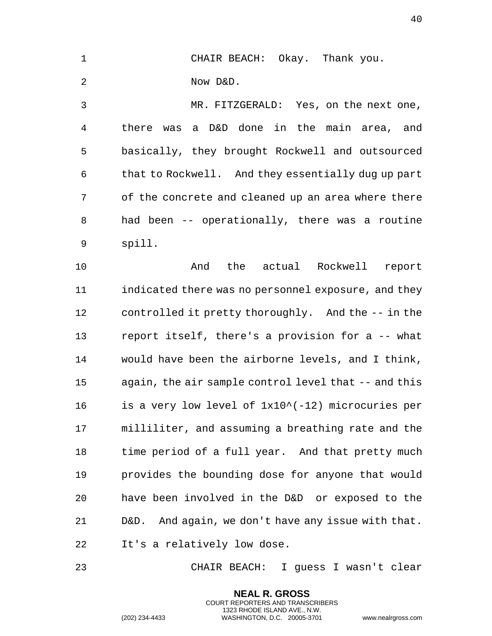| $\mathbf{1}$   | CHAIR BEACH: Okay. Thank you.                      |
|----------------|----------------------------------------------------|
| -2             | Now D&D.                                           |
| 3              | MR. FITZGERALD: Yes, on the next one,              |
| $\overline{4}$ | there was a D&D done in the main area,<br>and      |
| 5              | basically, they brought Rockwell and outsourced    |
| 6              | that to Rockwell. And they essentially dug up part |
|                |                                                    |

 of the concrete and cleaned up an area where there had been -- operationally, there was a routine spill.

 And the actual Rockwell report indicated there was no personnel exposure, and they controlled it pretty thoroughly. And the -- in the report itself, there's a provision for a -- what would have been the airborne levels, and I think, again, the air sample control level that -- and this is a very low level of 1x10^(-12) microcuries per milliliter, and assuming a breathing rate and the time period of a full year. And that pretty much provides the bounding dose for anyone that would have been involved in the D&D or exposed to the D&D. And again, we don't have any issue with that. It's a relatively low dose.

CHAIR BEACH: I guess I wasn't clear

**NEAL R. GROSS** COURT REPORTERS AND TRANSCRIBERS 1323 RHODE ISLAND AVE., N.W.

(202) 234-4433 WASHINGTON, D.C. 20005-3701 www.nealrgross.com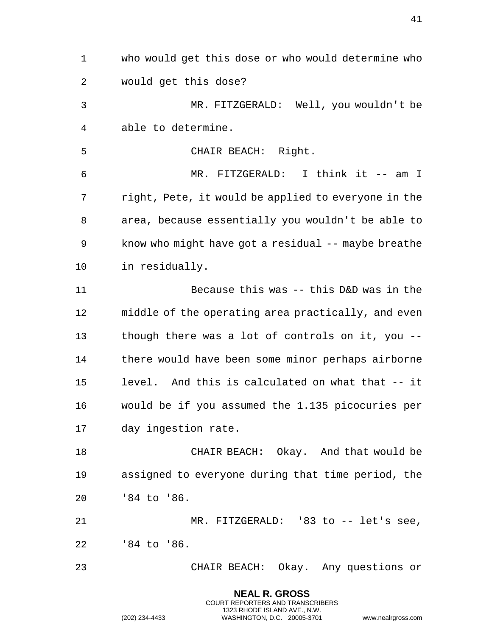who would get this dose or who would determine who would get this dose? MR. FITZGERALD: Well, you wouldn't be able to determine. CHAIR BEACH: Right. MR. FITZGERALD: I think it -- am I right, Pete, it would be applied to everyone in the area, because essentially you wouldn't be able to know who might have got a residual -- maybe breathe in residually. Because this was -- this D&D was in the middle of the operating area practically, and even though there was a lot of controls on it, you -- there would have been some minor perhaps airborne level. And this is calculated on what that -- it would be if you assumed the 1.135 picocuries per day ingestion rate. CHAIR BEACH: Okay. And that would be assigned to everyone during that time period, the '84 to '86. MR. FITZGERALD: '83 to -- let's see, '84 to '86. CHAIR BEACH: Okay. Any questions or

> **NEAL R. GROSS** COURT REPORTERS AND TRANSCRIBERS 1323 RHODE ISLAND AVE., N.W.

(202) 234-4433 WASHINGTON, D.C. 20005-3701 www.nealrgross.com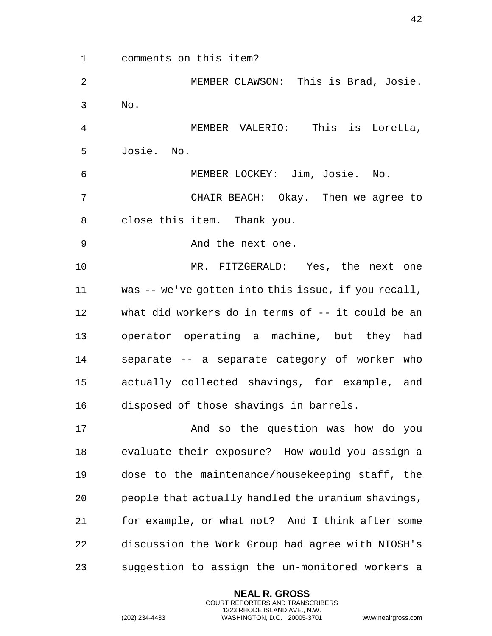comments on this item?

 MEMBER CLAWSON: This is Brad, Josie. No.

 MEMBER VALERIO: This is Loretta, Josie. No.

MEMBER LOCKEY: Jim, Josie. No.

 CHAIR BEACH: Okay. Then we agree to close this item. Thank you.

And the next one.

 MR. FITZGERALD: Yes, the next one was -- we've gotten into this issue, if you recall, what did workers do in terms of -- it could be an operator operating a machine, but they had separate -- a separate category of worker who actually collected shavings, for example, and disposed of those shavings in barrels.

 And so the question was how do you evaluate their exposure? How would you assign a dose to the maintenance/housekeeping staff, the people that actually handled the uranium shavings, for example, or what not? And I think after some discussion the Work Group had agree with NIOSH's suggestion to assign the un-monitored workers a

> **NEAL R. GROSS** COURT REPORTERS AND TRANSCRIBERS 1323 RHODE ISLAND AVE., N.W.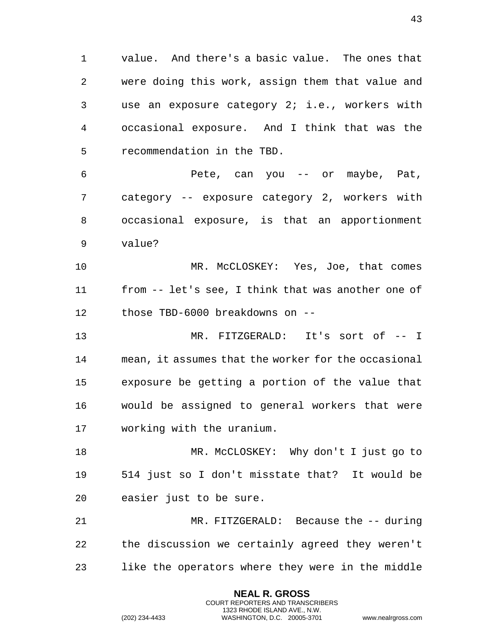value. And there's a basic value. The ones that were doing this work, assign them that value and use an exposure category 2; i.e., workers with occasional exposure. And I think that was the recommendation in the TBD.

 Pete, can you -- or maybe, Pat, category -- exposure category 2, workers with occasional exposure, is that an apportionment value?

 MR. McCLOSKEY: Yes, Joe, that comes from -- let's see, I think that was another one of those TBD-6000 breakdowns on --

 MR. FITZGERALD: It's sort of -- I mean, it assumes that the worker for the occasional exposure be getting a portion of the value that would be assigned to general workers that were working with the uranium.

 MR. McCLOSKEY: Why don't I just go to 514 just so I don't misstate that? It would be easier just to be sure.

 MR. FITZGERALD: Because the -- during the discussion we certainly agreed they weren't like the operators where they were in the middle

> **NEAL R. GROSS** COURT REPORTERS AND TRANSCRIBERS 1323 RHODE ISLAND AVE., N.W.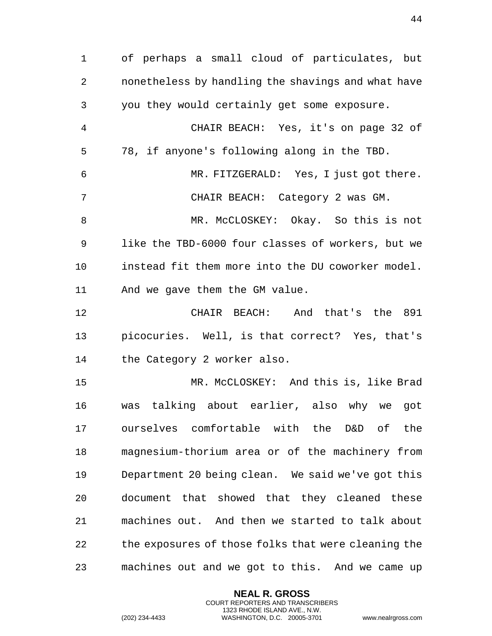of perhaps a small cloud of particulates, but nonetheless by handling the shavings and what have you they would certainly get some exposure. CHAIR BEACH: Yes, it's on page 32 of 78, if anyone's following along in the TBD. MR. FITZGERALD: Yes, I just got there. CHAIR BEACH: Category 2 was GM. MR. McCLOSKEY: Okay. So this is not like the TBD-6000 four classes of workers, but we instead fit them more into the DU coworker model. And we gave them the GM value. CHAIR BEACH: And that's the 891 picocuries. Well, is that correct? Yes, that's the Category 2 worker also. MR. McCLOSKEY: And this is, like Brad was talking about earlier, also why we got ourselves comfortable with the D&D of the magnesium-thorium area or of the machinery from Department 20 being clean. We said we've got this document that showed that they cleaned these machines out. And then we started to talk about the exposures of those folks that were cleaning the machines out and we got to this. And we came up

> **NEAL R. GROSS** COURT REPORTERS AND TRANSCRIBERS 1323 RHODE ISLAND AVE., N.W.

(202) 234-4433 WASHINGTON, D.C. 20005-3701 www.nealrgross.com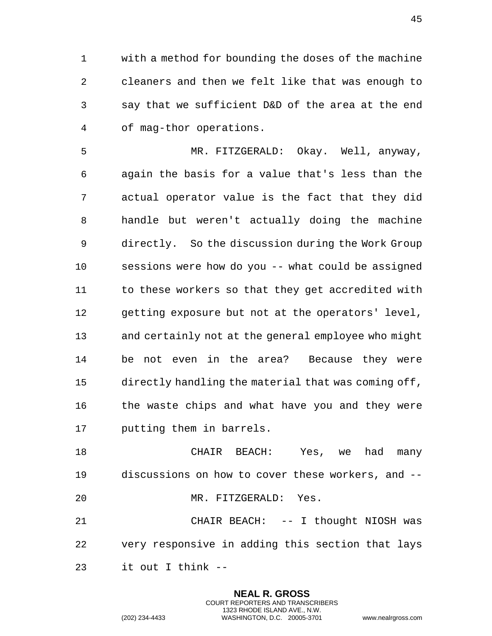with a method for bounding the doses of the machine cleaners and then we felt like that was enough to say that we sufficient D&D of the area at the end of mag-thor operations.

 MR. FITZGERALD: Okay. Well, anyway, again the basis for a value that's less than the actual operator value is the fact that they did handle but weren't actually doing the machine directly. So the discussion during the Work Group sessions were how do you -- what could be assigned 11 to these workers so that they get accredited with getting exposure but not at the operators' level, and certainly not at the general employee who might be not even in the area? Because they were directly handling the material that was coming off, the waste chips and what have you and they were putting them in barrels.

 CHAIR BEACH: Yes, we had many discussions on how to cover these workers, and -- MR. FITZGERALD: Yes.

 CHAIR BEACH: -- I thought NIOSH was very responsive in adding this section that lays it out I think --

> **NEAL R. GROSS** COURT REPORTERS AND TRANSCRIBERS 1323 RHODE ISLAND AVE., N.W.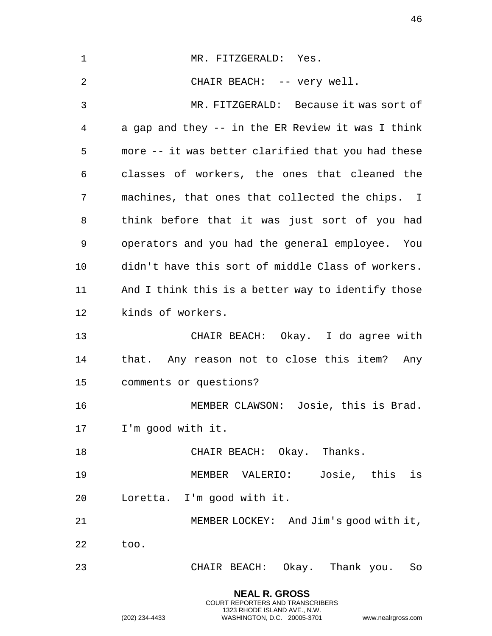| $\mathbf 1$ | MR. FITZGERALD: Yes.                               |
|-------------|----------------------------------------------------|
| 2           | CHAIR BEACH: -- very well.                         |
| 3           | MR. FITZGERALD: Because it was sort of             |
| 4           | a gap and they -- in the ER Review it was I think  |
| 5           | more -- it was better clarified that you had these |
| 6           | classes of workers, the ones that cleaned the      |
| 7           | machines, that ones that collected the chips. I    |
| 8           | think before that it was just sort of you had      |
| 9           | operators and you had the general employee. You    |
| 10          | didn't have this sort of middle Class of workers.  |
| 11          | And I think this is a better way to identify those |
| 12          | kinds of workers.                                  |
| 13          | CHAIR BEACH: Okay. I do agree with                 |
| 14          | that. Any reason not to close this item? Any       |
| 15          | comments or questions?                             |
| 16          | MEMBER CLAWSON: Josie, this is Brad.               |
| 17          | I'm good with it.                                  |
| 18          | CHAIR BEACH: Okay. Thanks.                         |
| 19          | Josie, this is<br>MEMBER VALERIO:                  |
| 20          | Loretta. I'm good with it.                         |
| 21          | MEMBER LOCKEY: And Jim's good with it,             |
| 22          | too.                                               |
| 23          | CHAIR BEACH: Okay. Thank you. So                   |
|             |                                                    |

**NEAL R. GROSS** COURT REPORTERS AND TRANSCRIBERS 1323 RHODE ISLAND AVE., N.W.

(202) 234-4433 WASHINGTON, D.C. 20005-3701 www.nealrgross.com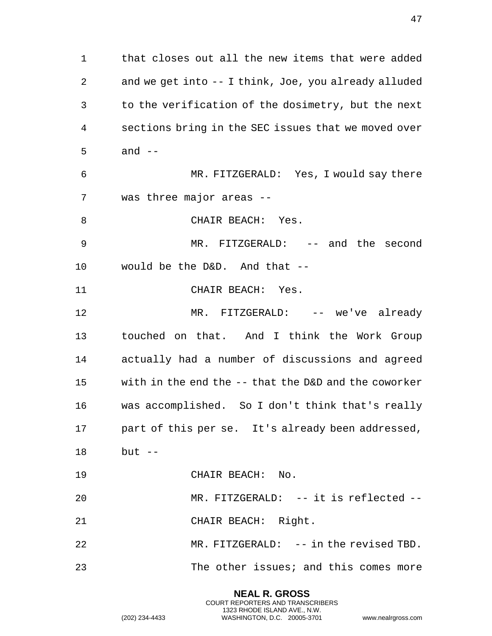that closes out all the new items that were added and we get into -- I think, Joe, you already alluded to the verification of the dosimetry, but the next sections bring in the SEC issues that we moved over and  $-$  MR. FITZGERALD: Yes, I would say there was three major areas -- 8 CHAIR BEACH: Yes. MR. FITZGERALD: -- and the second would be the D&D. And that -- 11 CHAIR BEACH: Yes. MR. FITZGERALD: -- we've already touched on that. And I think the Work Group actually had a number of discussions and agreed with in the end the -- that the D&D and the coworker was accomplished. So I don't think that's really part of this per se. It's already been addressed, but -- CHAIR BEACH: No. MR. FITZGERALD: -- it is reflected -- CHAIR BEACH: Right. MR. FITZGERALD: -- in the revised TBD. The other issues; and this comes more

> **NEAL R. GROSS** COURT REPORTERS AND TRANSCRIBERS 1323 RHODE ISLAND AVE., N.W.

(202) 234-4433 WASHINGTON, D.C. 20005-3701 www.nealrgross.com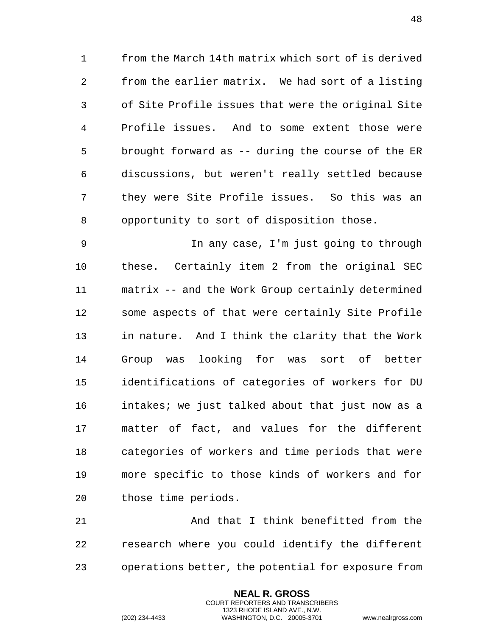from the March 14th matrix which sort of is derived from the earlier matrix. We had sort of a listing of Site Profile issues that were the original Site Profile issues. And to some extent those were brought forward as -- during the course of the ER discussions, but weren't really settled because they were Site Profile issues. So this was an opportunity to sort of disposition those.

 In any case, I'm just going to through these. Certainly item 2 from the original SEC matrix -- and the Work Group certainly determined some aspects of that were certainly Site Profile in nature. And I think the clarity that the Work Group was looking for was sort of better identifications of categories of workers for DU intakes; we just talked about that just now as a matter of fact, and values for the different categories of workers and time periods that were more specific to those kinds of workers and for those time periods.

 And that I think benefitted from the research where you could identify the different operations better, the potential for exposure from

> **NEAL R. GROSS** COURT REPORTERS AND TRANSCRIBERS 1323 RHODE ISLAND AVE., N.W.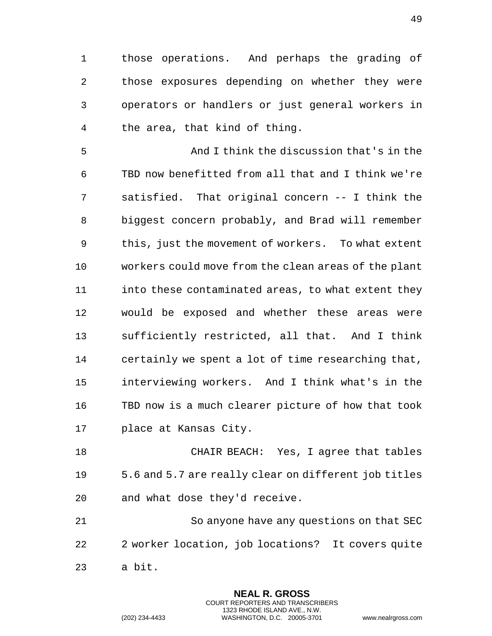those operations. And perhaps the grading of those exposures depending on whether they were operators or handlers or just general workers in the area, that kind of thing.

 And I think the discussion that's in the TBD now benefitted from all that and I think we're satisfied. That original concern -- I think the biggest concern probably, and Brad will remember this, just the movement of workers. To what extent workers could move from the clean areas of the plant 11 into these contaminated areas, to what extent they would be exposed and whether these areas were sufficiently restricted, all that. And I think certainly we spent a lot of time researching that, interviewing workers. And I think what's in the TBD now is a much clearer picture of how that took place at Kansas City.

 CHAIR BEACH: Yes, I agree that tables 5.6 and 5.7 are really clear on different job titles and what dose they'd receive.

 So anyone have any questions on that SEC 2 worker location, job locations? It covers quite a bit.

> **NEAL R. GROSS** COURT REPORTERS AND TRANSCRIBERS 1323 RHODE ISLAND AVE., N.W.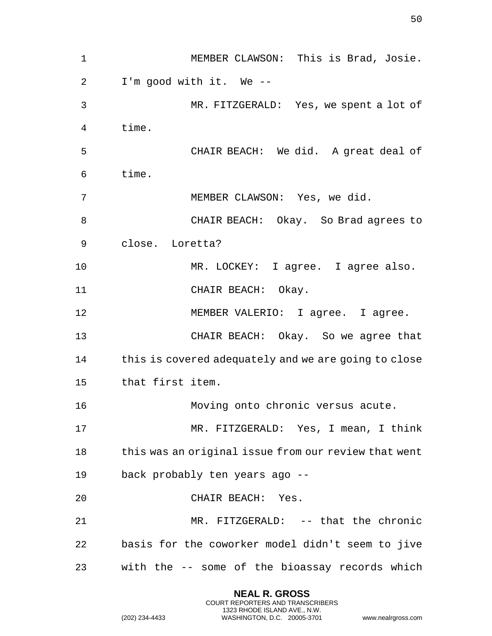MEMBER CLAWSON: This is Brad, Josie. I'm good with it. We -- MR. FITZGERALD: Yes, we spent a lot of time. CHAIR BEACH: We did. A great deal of time. MEMBER CLAWSON: Yes, we did. CHAIR BEACH: Okay. So Brad agrees to close. Loretta? MR. LOCKEY: I agree. I agree also. CHAIR BEACH: Okay. 12 MEMBER VALERIO: I agree. I agree. CHAIR BEACH: Okay. So we agree that this is covered adequately and we are going to close that first item. Moving onto chronic versus acute. MR. FITZGERALD: Yes, I mean, I think this was an original issue from our review that went back probably ten years ago -- CHAIR BEACH: Yes. MR. FITZGERALD: -- that the chronic basis for the coworker model didn't seem to jive with the -- some of the bioassay records which

> **NEAL R. GROSS** COURT REPORTERS AND TRANSCRIBERS 1323 RHODE ISLAND AVE., N.W.

(202) 234-4433 WASHINGTON, D.C. 20005-3701 www.nealrgross.com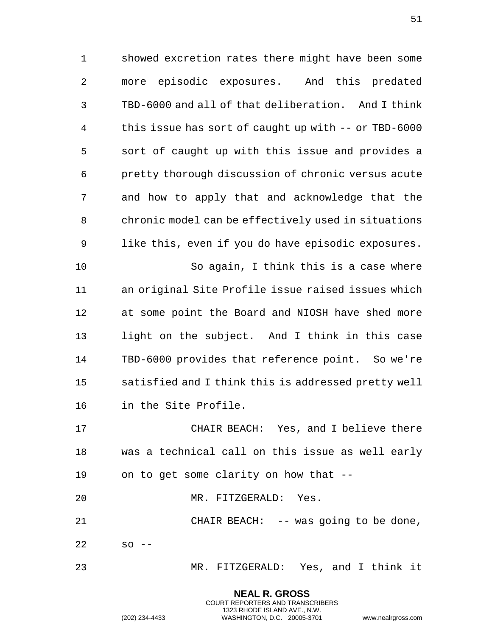showed excretion rates there might have been some more episodic exposures. And this predated TBD-6000 and all of that deliberation. And I think this issue has sort of caught up with -- or TBD-6000 sort of caught up with this issue and provides a pretty thorough discussion of chronic versus acute and how to apply that and acknowledge that the chronic model can be effectively used in situations like this, even if you do have episodic exposures. So again, I think this is a case where an original Site Profile issue raised issues which at some point the Board and NIOSH have shed more light on the subject. And I think in this case TBD-6000 provides that reference point. So we're satisfied and I think this is addressed pretty well in the Site Profile.

 CHAIR BEACH: Yes, and I believe there was a technical call on this issue as well early on to get some clarity on how that --

MR. FITZGERALD: Yes.

 CHAIR BEACH: -- was going to be done, so  $-$ 

MR. FITZGERALD: Yes, and I think it

**NEAL R. GROSS** COURT REPORTERS AND TRANSCRIBERS 1323 RHODE ISLAND AVE., N.W.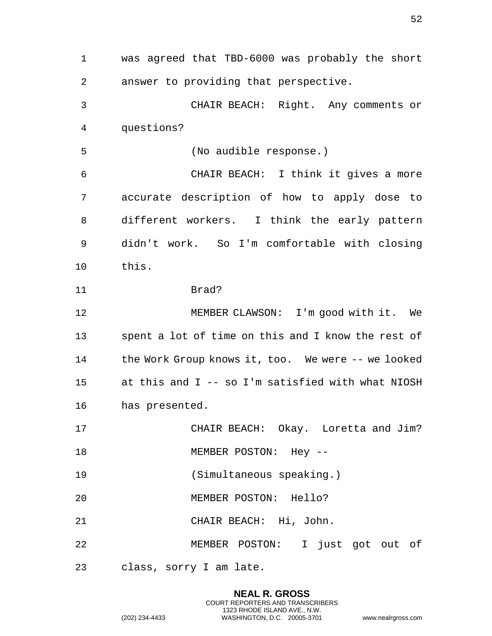was agreed that TBD-6000 was probably the short answer to providing that perspective. CHAIR BEACH: Right. Any comments or questions? (No audible response.) CHAIR BEACH: I think it gives a more accurate description of how to apply dose to different workers. I think the early pattern didn't work. So I'm comfortable with closing this. Brad? 12 MEMBER CLAWSON: I'm good with it. We spent a lot of time on this and I know the rest of the Work Group knows it, too. We were -- we looked at this and I -- so I'm satisfied with what NIOSH has presented. CHAIR BEACH: Okay. Loretta and Jim? 18 MEMBER POSTON: Hey -- (Simultaneous speaking.) MEMBER POSTON: Hello? CHAIR BEACH: Hi, John. MEMBER POSTON: I just got out of class, sorry I am late.

> **NEAL R. GROSS** COURT REPORTERS AND TRANSCRIBERS 1323 RHODE ISLAND AVE., N.W.

(202) 234-4433 WASHINGTON, D.C. 20005-3701 www.nealrgross.com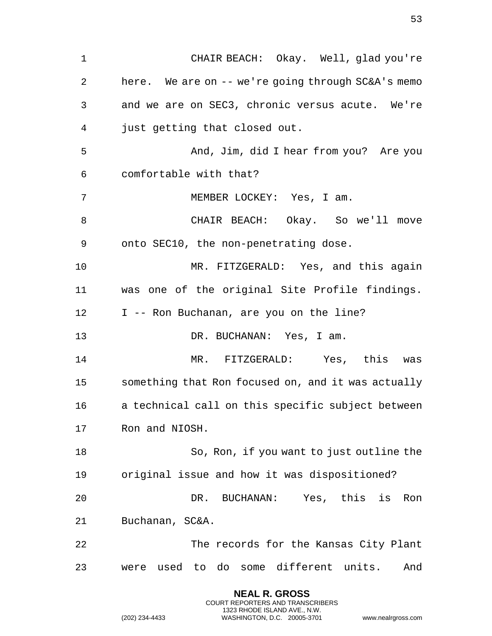CHAIR BEACH: Okay. Well, glad you're here. We are on -- we're going through SC&A's memo and we are on SEC3, chronic versus acute. We're just getting that closed out. And, Jim, did I hear from you? Are you comfortable with that? MEMBER LOCKEY: Yes, I am. CHAIR BEACH: Okay. So we'll move onto SEC10, the non-penetrating dose. MR. FITZGERALD: Yes, and this again was one of the original Site Profile findings. 12 I -- Ron Buchanan, are you on the line? 13 DR. BUCHANAN: Yes, I am. MR. FITZGERALD: Yes, this was something that Ron focused on, and it was actually a technical call on this specific subject between Ron and NIOSH. So, Ron, if you want to just outline the original issue and how it was dispositioned? DR. BUCHANAN: Yes, this is Ron Buchanan, SC&A. The records for the Kansas City Plant were used to do some different units. And

> **NEAL R. GROSS** COURT REPORTERS AND TRANSCRIBERS 1323 RHODE ISLAND AVE., N.W.

(202) 234-4433 WASHINGTON, D.C. 20005-3701 www.nealrgross.com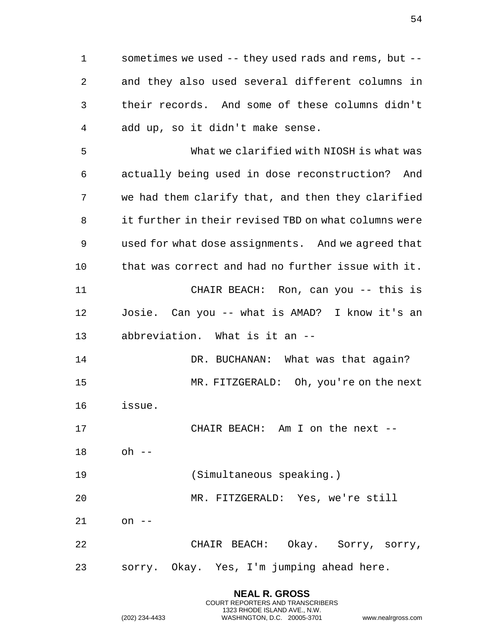sometimes we used -- they used rads and rems, but -- and they also used several different columns in their records. And some of these columns didn't add up, so it didn't make sense.

 What we clarified with NIOSH is what was actually being used in dose reconstruction? And we had them clarify that, and then they clarified it further in their revised TBD on what columns were used for what dose assignments. And we agreed that that was correct and had no further issue with it. CHAIR BEACH: Ron, can you -- this is Josie. Can you -- what is AMAD? I know it's an abbreviation. What is it an --

14 DR. BUCHANAN: What was that again? MR. FITZGERALD: Oh, you're on the next issue.

CHAIR BEACH: Am I on the next --

- oh --
- (Simultaneous speaking.)

MR. FITZGERALD: Yes, we're still

on --

 CHAIR BEACH: Okay. Sorry, sorry, sorry. Okay. Yes, I'm jumping ahead here.

> **NEAL R. GROSS** COURT REPORTERS AND TRANSCRIBERS 1323 RHODE ISLAND AVE., N.W. (202) 234-4433 WASHINGTON, D.C. 20005-3701 www.nealrgross.com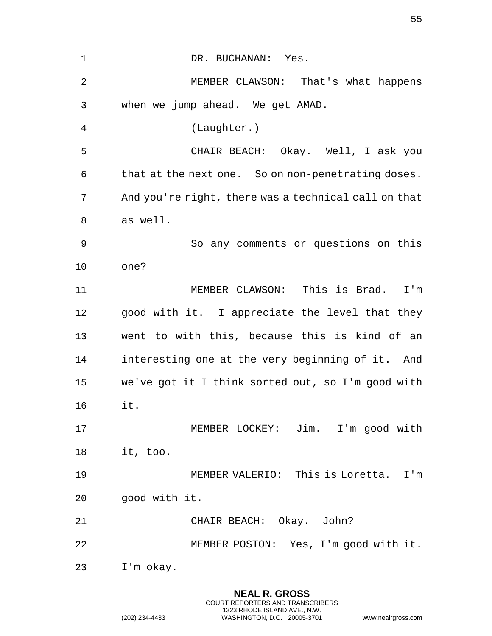| $\mathbf{1}$ | DR. BUCHANAN: Yes.                                   |
|--------------|------------------------------------------------------|
| 2            | MEMBER CLAWSON: That's what happens                  |
| 3            | when we jump ahead. We get AMAD.                     |
| 4            | (Laughter.)                                          |
| 5            | CHAIR BEACH: Okay. Well, I ask you                   |
| 6            | that at the next one. So on non-penetrating doses.   |
| 7            | And you're right, there was a technical call on that |
| 8            | as well.                                             |
| 9            | So any comments or questions on this                 |
| 10           | one?                                                 |
| 11           | MEMBER CLAWSON: This is Brad.<br>I'm                 |
| 12           | good with it. I appreciate the level that they       |
| 13           | went to with this, because this is kind of an        |
| 14           | interesting one at the very beginning of it. And     |
| 15           | we've got it I think sorted out, so I'm good with    |
| 16           | it.                                                  |
| 17           | MEMBER LOCKEY: Jim. I'm good with                    |
| 18           | it, too.                                             |
| 19           | MEMBER VALERIO: This is Loretta. I'm                 |
| 20           | good with it.                                        |
| 21           | CHAIR BEACH: Okay. John?                             |
| 22           | MEMBER POSTON: Yes, I'm good with it.                |
| 23           | I'm okay.                                            |

**NEAL R. GROSS** COURT REPORTERS AND TRANSCRIBERS 1323 RHODE ISLAND AVE., N.W.

(202) 234-4433 WASHINGTON, D.C. 20005-3701 www.nealrgross.com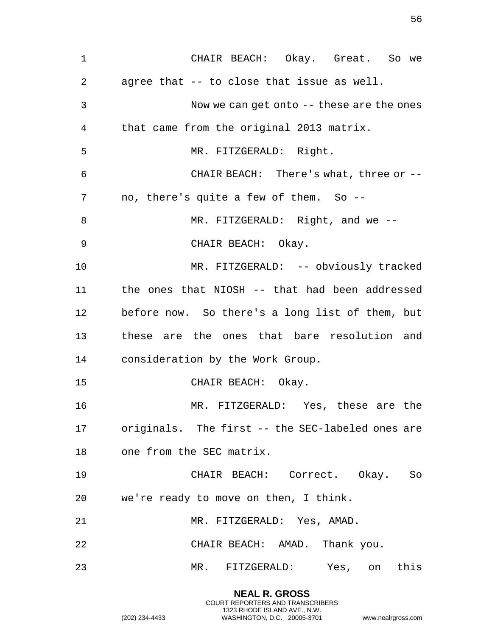CHAIR BEACH: Okay. Great. So we agree that -- to close that issue as well. Now we can get onto -- these are the ones that came from the original 2013 matrix. MR. FITZGERALD: Right. CHAIR BEACH: There's what, three or -- no, there's quite a few of them. So -- 8 MR. FITZGERALD: Right, and we -- CHAIR BEACH: Okay. MR. FITZGERALD: -- obviously tracked the ones that NIOSH -- that had been addressed before now. So there's a long list of them, but these are the ones that bare resolution and consideration by the Work Group. CHAIR BEACH: Okay. MR. FITZGERALD: Yes, these are the originals. The first -- the SEC-labeled ones are one from the SEC matrix. CHAIR BEACH: Correct. Okay. So we're ready to move on then, I think. MR. FITZGERALD: Yes, AMAD. CHAIR BEACH: AMAD. Thank you. MR. FITZGERALD: Yes, on this

> **NEAL R. GROSS** COURT REPORTERS AND TRANSCRIBERS 1323 RHODE ISLAND AVE., N.W.

(202) 234-4433 WASHINGTON, D.C. 20005-3701 www.nealrgross.com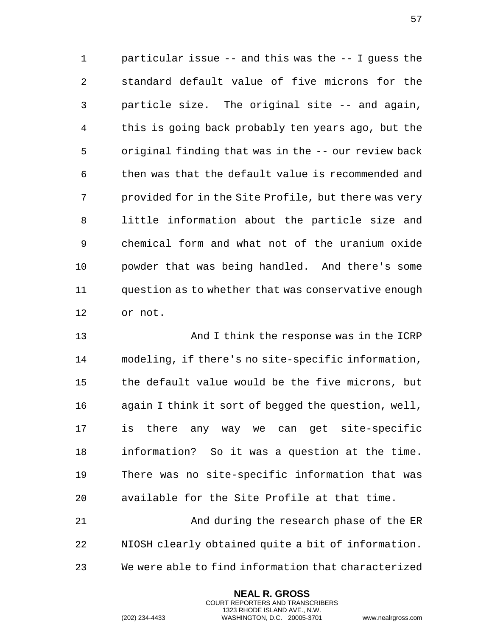particular issue -- and this was the -- I guess the standard default value of five microns for the particle size. The original site -- and again, this is going back probably ten years ago, but the original finding that was in the -- our review back then was that the default value is recommended and provided for in the Site Profile, but there was very little information about the particle size and chemical form and what not of the uranium oxide powder that was being handled. And there's some question as to whether that was conservative enough or not.

 And I think the response was in the ICRP modeling, if there's no site-specific information, the default value would be the five microns, but again I think it sort of begged the question, well, is there any way we can get site-specific information? So it was a question at the time. There was no site-specific information that was available for the Site Profile at that time.

 And during the research phase of the ER NIOSH clearly obtained quite a bit of information. We were able to find information that characterized

> **NEAL R. GROSS** COURT REPORTERS AND TRANSCRIBERS 1323 RHODE ISLAND AVE., N.W.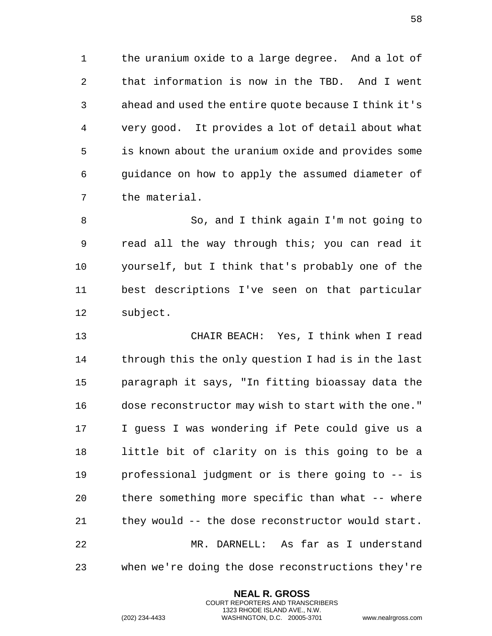the uranium oxide to a large degree. And a lot of that information is now in the TBD. And I went ahead and used the entire quote because I think it's very good. It provides a lot of detail about what is known about the uranium oxide and provides some guidance on how to apply the assumed diameter of the material.

 So, and I think again I'm not going to read all the way through this; you can read it yourself, but I think that's probably one of the best descriptions I've seen on that particular subject.

 CHAIR BEACH: Yes, I think when I read through this the only question I had is in the last paragraph it says, "In fitting bioassay data the dose reconstructor may wish to start with the one." I guess I was wondering if Pete could give us a little bit of clarity on is this going to be a professional judgment or is there going to -- is there something more specific than what -- where they would -- the dose reconstructor would start. MR. DARNELL: As far as I understand when we're doing the dose reconstructions they're

> **NEAL R. GROSS** COURT REPORTERS AND TRANSCRIBERS 1323 RHODE ISLAND AVE., N.W.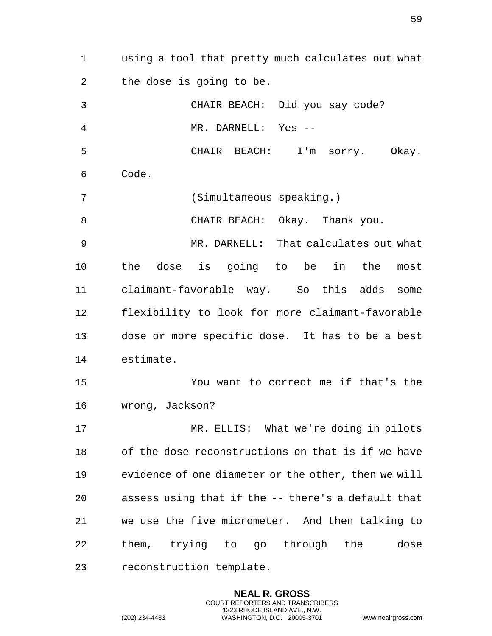using a tool that pretty much calculates out what the dose is going to be. CHAIR BEACH: Did you say code? MR. DARNELL: Yes -- CHAIR BEACH: I'm sorry. Okay. Code. (Simultaneous speaking.) CHAIR BEACH: Okay. Thank you. MR. DARNELL: That calculates out what the dose is going to be in the most claimant-favorable way. So this adds some flexibility to look for more claimant-favorable dose or more specific dose. It has to be a best estimate. You want to correct me if that's the wrong, Jackson? MR. ELLIS: What we're doing in pilots of the dose reconstructions on that is if we have evidence of one diameter or the other, then we will assess using that if the -- there's a default that we use the five micrometer. And then talking to them, trying to go through the dose reconstruction template.

> **NEAL R. GROSS** COURT REPORTERS AND TRANSCRIBERS 1323 RHODE ISLAND AVE., N.W.

(202) 234-4433 WASHINGTON, D.C. 20005-3701 www.nealrgross.com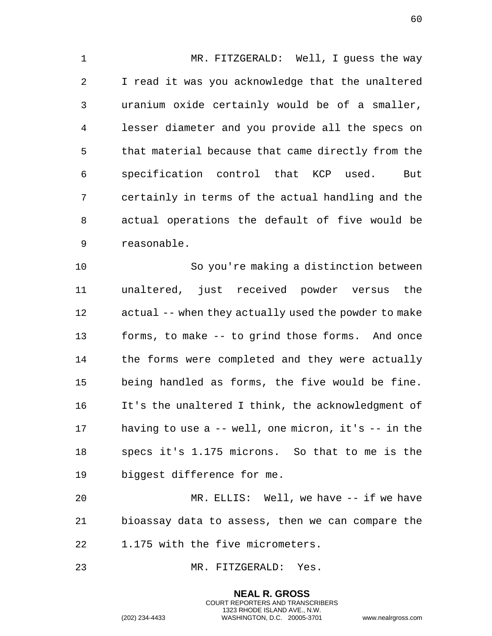MR. FITZGERALD: Well, I guess the way I read it was you acknowledge that the unaltered uranium oxide certainly would be of a smaller, lesser diameter and you provide all the specs on that material because that came directly from the specification control that KCP used. But certainly in terms of the actual handling and the actual operations the default of five would be reasonable.

 So you're making a distinction between unaltered, just received powder versus the actual -- when they actually used the powder to make forms, to make -- to grind those forms. And once 14 the forms were completed and they were actually being handled as forms, the five would be fine. It's the unaltered I think, the acknowledgment of having to use a -- well, one micron, it's -- in the specs it's 1.175 microns. So that to me is the biggest difference for me.

 MR. ELLIS: Well, we have -- if we have bioassay data to assess, then we can compare the 1.175 with the five micrometers.

> **NEAL R. GROSS** COURT REPORTERS AND TRANSCRIBERS 1323 RHODE ISLAND AVE., N.W.

MR. FITZGERALD: Yes.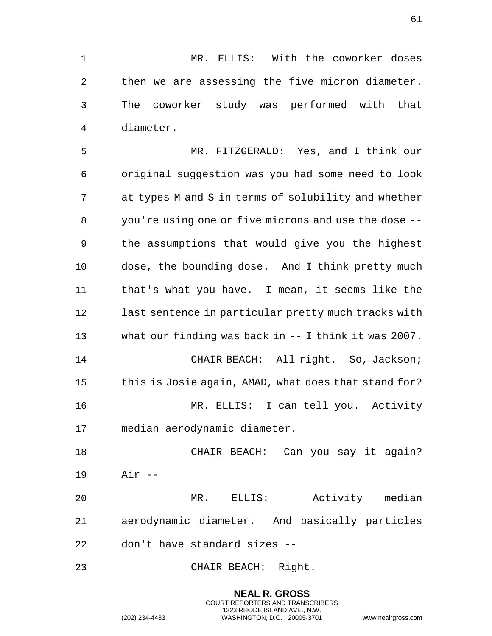MR. ELLIS: With the coworker doses then we are assessing the five micron diameter. The coworker study was performed with that diameter.

 MR. FITZGERALD: Yes, and I think our original suggestion was you had some need to look at types M and S in terms of solubility and whether you're using one or five microns and use the dose -- the assumptions that would give you the highest dose, the bounding dose. And I think pretty much that's what you have. I mean, it seems like the last sentence in particular pretty much tracks with what our finding was back in -- I think it was 2007. CHAIR BEACH: All right. So, Jackson; this is Josie again, AMAD, what does that stand for? MR. ELLIS: I can tell you. Activity median aerodynamic diameter.

 CHAIR BEACH: Can you say it again? Air --

 MR. ELLIS: Activity median aerodynamic diameter. And basically particles don't have standard sizes --

CHAIR BEACH: Right.

**NEAL R. GROSS** COURT REPORTERS AND TRANSCRIBERS 1323 RHODE ISLAND AVE., N.W. (202) 234-4433 WASHINGTON, D.C. 20005-3701 www.nealrgross.com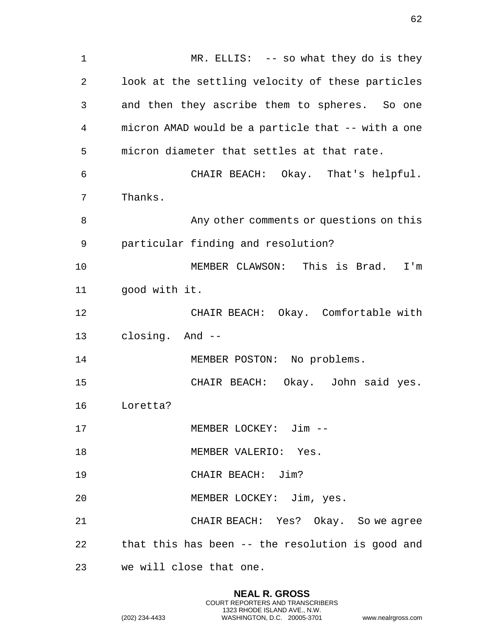1 MR. ELLIS: -- so what they do is they 2 look at the settling velocity of these particles 3 and then they ascribe them to spheres. So one 4 micron AMAD would be a particle that -- with a one 5 micron diameter that settles at that rate. 6 CHAIR BEACH: Okay. That's helpful. 7 Thanks. 8 Any other comments or questions on this 9 particular finding and resolution? 10 MEMBER CLAWSON: This is Brad. I'm 11 good with it. 12 CHAIR BEACH: Okay. Comfortable with 13 closing. And -- 14 MEMBER POSTON: No problems. 15 CHAIR BEACH: Okay. John said yes. 16 Loretta? 17 MEMBER LOCKEY: Jim -- 18 MEMBER VALERIO: Yes. 19 CHAIR BEACH: Jim? 20 MEMBER LOCKEY: Jim, yes. 21 CHAIR BEACH: Yes? Okay. So we agree 22 that this has been -- the resolution is good and 23 we will close that one.

> **NEAL R. GROSS** COURT REPORTERS AND TRANSCRIBERS 1323 RHODE ISLAND AVE., N.W.

(202) 234-4433 WASHINGTON, D.C. 20005-3701 www.nealrgross.com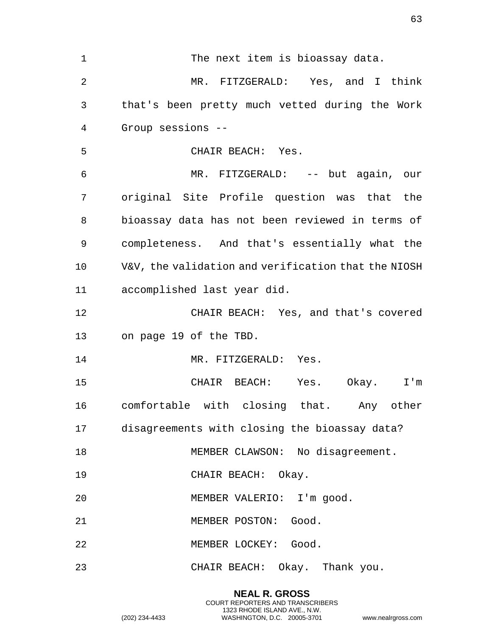| $\mathbf 1$     | The next item is bioassay data.                     |
|-----------------|-----------------------------------------------------|
| $\overline{2}$  | MR. FITZGERALD: Yes, and I think                    |
| 3               | that's been pretty much vetted during the Work      |
| 4               | Group sessions --                                   |
| 5               | CHAIR BEACH: Yes.                                   |
| 6               | MR. FITZGERALD: -- but again, our                   |
| 7               | original Site Profile question was that the         |
| 8               | bioassay data has not been reviewed in terms of     |
| 9               | completeness. And that's essentially what the       |
| 10              | V&V, the validation and verification that the NIOSH |
| 11              | accomplished last year did.                         |
| 12              | CHAIR BEACH: Yes, and that's covered                |
| 13              | on page 19 of the TBD.                              |
| 14              | MR. FITZGERALD: Yes.                                |
| 15              | CHAIR BEACH: Yes. Okay.<br>$I'$ m                   |
| 16              | comfortable with closing that. Any other            |
| 17 <sub>2</sub> | disagreements with closing the bioassay data?       |
| 18              | MEMBER CLAWSON: No disagreement.                    |
| 19              | CHAIR BEACH: Okay.                                  |
| 20              | MEMBER VALERIO: I'm good.                           |
| 21              | MEMBER POSTON: Good.                                |
| 22              | MEMBER LOCKEY: Good.                                |
| 23              | CHAIR BEACH: Okay. Thank you.                       |

**NEAL R. GROSS** COURT REPORTERS AND TRANSCRIBERS 1323 RHODE ISLAND AVE., N.W.

(202) 234-4433 WASHINGTON, D.C. 20005-3701 www.nealrgross.com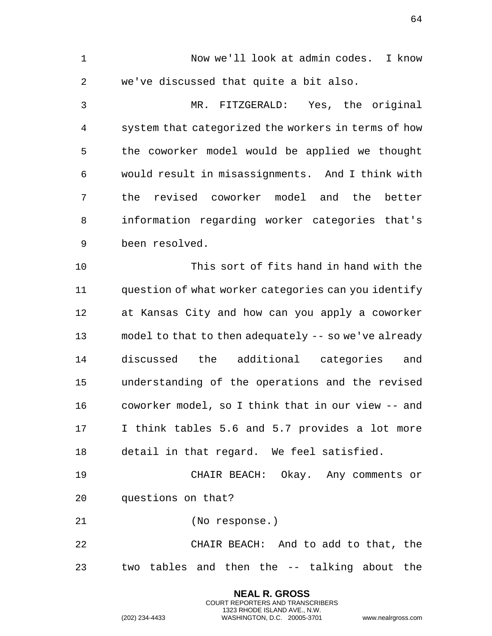1 Now we'll look at admin codes. I know 2 we've discussed that quite a bit also. 3 MR. FITZGERALD: Yes, the original 4 system that categorized the workers in terms of how 5 the coworker model would be applied we thought 6 would result in misassignments. And I think with 7 the revised coworker model and the better 8 information regarding worker categories that's 9 been resolved. 10 This sort of fits hand in hand with the 11 question of what worker categories can you identify 12 at Kansas City and how can you apply a coworker 13 model to that to then adequately -- so we've already 14 discussed the additional categories and 15 understanding of the operations and the revised 16 coworker model, so I think that in our view -- and 17 I think tables 5.6 and 5.7 provides a lot more 18 detail in that regard. We feel satisfied. 19 CHAIR BEACH: Okay. Any comments or 20 questions on that? 21 (No response.) 22 CHAIR BEACH: And to add to that, the 23 two tables and then the -- talking about the

> **NEAL R. GROSS** COURT REPORTERS AND TRANSCRIBERS 1323 RHODE ISLAND AVE., N.W.

(202) 234-4433 WASHINGTON, D.C. 20005-3701 www.nealrgross.com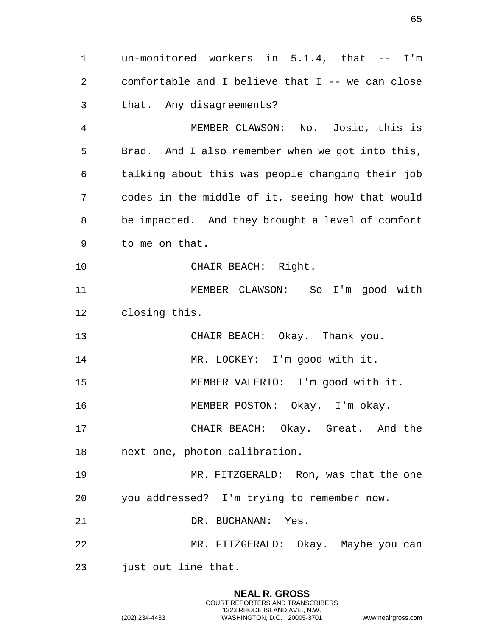1 un-monitored workers in 5.1.4, that -- I'm 2 comfortable and I believe that I -- we can close 3 that. Any disagreements? 4 MEMBER CLAWSON: No. Josie, this is 5 Brad. And I also remember when we got into this, 6 talking about this was people changing their job 7 codes in the middle of it, seeing how that would 8 be impacted. And they brought a level of comfort 9 to me on that. 10 CHAIR BEACH: Right. 11 MEMBER CLAWSON: So I'm good with 12 closing this. 13 CHAIR BEACH: Okay. Thank you. 14 MR. LOCKEY: I'm good with it. 15 MEMBER VALERIO: I'm good with it. 16 MEMBER POSTON: Okay. I'm okay. 17 CHAIR BEACH: Okay. Great. And the 18 next one, photon calibration. 19 MR. FITZGERALD: Ron, was that the one 20 you addressed? I'm trying to remember now. 21 DR. BUCHANAN: Yes. 22 MR. FITZGERALD: Okay. Maybe you can 23 just out line that.

> **NEAL R. GROSS** COURT REPORTERS AND TRANSCRIBERS 1323 RHODE ISLAND AVE., N.W.

(202) 234-4433 WASHINGTON, D.C. 20005-3701 www.nealrgross.com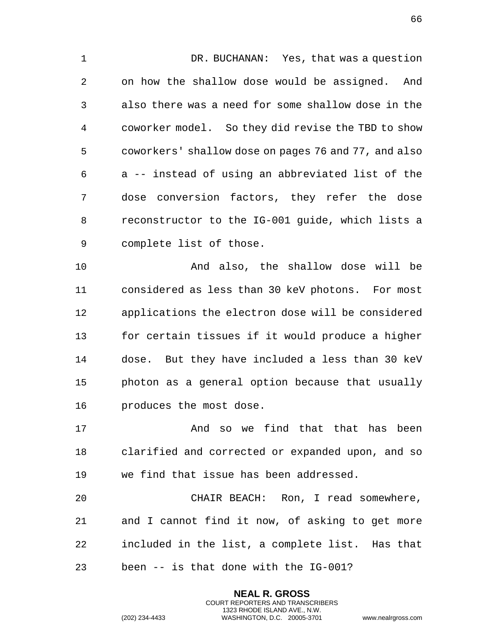1 DR. BUCHANAN: Yes, that was a question 2 on how the shallow dose would be assigned. And 3 also there was a need for some shallow dose in the 4 coworker model. So they did revise the TBD to show 5 coworkers' shallow dose on pages 76 and 77, and also 6 a -- instead of using an abbreviated list of the 7 dose conversion factors, they refer the dose 8 reconstructor to the IG-001 guide, which lists a 9 complete list of those.

10 And also, the shallow dose will be 11 considered as less than 30 keV photons. For most 12 applications the electron dose will be considered 13 for certain tissues if it would produce a higher 14 dose. But they have included a less than 30 keV 15 photon as a general option because that usually 16 produces the most dose.

17 And so we find that that has been 18 clarified and corrected or expanded upon, and so 19 we find that issue has been addressed.

20 CHAIR BEACH: Ron, I read somewhere, 21 and I cannot find it now, of asking to get more 22 included in the list, a complete list. Has that 23 been -- is that done with the IG-001?

> **NEAL R. GROSS** COURT REPORTERS AND TRANSCRIBERS 1323 RHODE ISLAND AVE., N.W.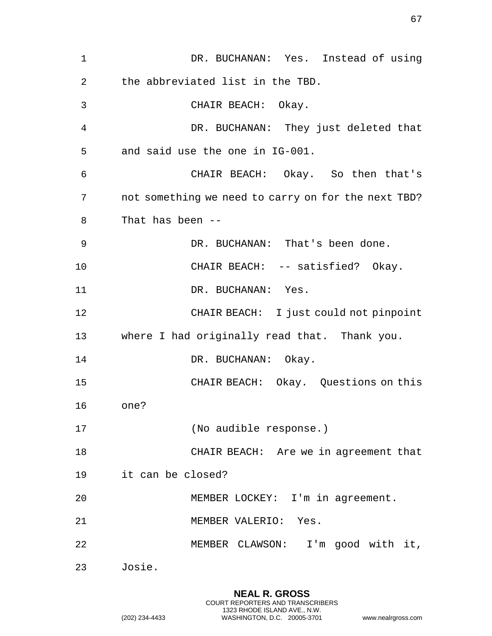1 DR. BUCHANAN: Yes. Instead of using 2 the abbreviated list in the TBD. 3 CHAIR BEACH: Okay. 4 DR. BUCHANAN: They just deleted that 5 and said use the one in IG-001. 6 CHAIR BEACH: Okay. So then that's 7 not something we need to carry on for the next TBD? 8 That has been -- 9 DR. BUCHANAN: That's been done. 10 CHAIR BEACH: -- satisfied? Okay. 11 DR. BUCHANAN: Yes. 12 CHAIR BEACH: I just could not pinpoint 13 where I had originally read that. Thank you. 14 DR. BUCHANAN: Okay. 15 CHAIR BEACH: Okay. Questions on this 16 one? 17 (No audible response.) 18 CHAIR BEACH: Are we in agreement that 19 it can be closed? 20 MEMBER LOCKEY: I'm in agreement. 21 MEMBER VALERIO: Yes. 22 MEMBER CLAWSON: I'm good with it, 23 Josie.

> **NEAL R. GROSS** COURT REPORTERS AND TRANSCRIBERS 1323 RHODE ISLAND AVE., N.W.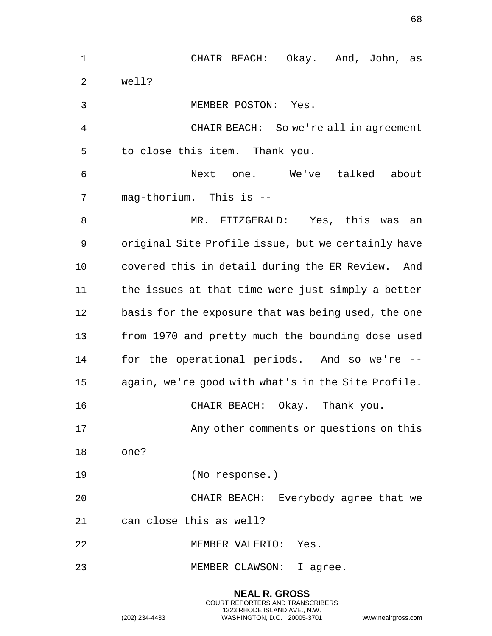| $\mathbf 1$ | CHAIR BEACH: Okay. And, John, as                    |
|-------------|-----------------------------------------------------|
| 2           | well?                                               |
| 3           | MEMBER POSTON: Yes.                                 |
| 4           | CHAIR BEACH: So we're all in agreement              |
| 5           | to close this item. Thank you.                      |
| 6           | Next one. We've talked about                        |
| 7           | mag-thorium. This is --                             |
| 8           | MR. FITZGERALD: Yes, this was<br>an                 |
| 9           | original Site Profile issue, but we certainly have  |
| 10          | covered this in detail during the ER Review. And    |
| 11          | the issues at that time were just simply a better   |
| 12          | basis for the exposure that was being used, the one |
| 13          | from 1970 and pretty much the bounding dose used    |
| 14          | for the operational periods. And so we're --        |
| 15          | again, we're good with what's in the Site Profile.  |
| 16          | CHAIR BEACH: Okay. Thank you.                       |
| 17          | Any other comments or questions on this             |
| 18          | one?                                                |
| 19          | (No response.)                                      |
| 20          | CHAIR BEACH: Everybody agree that we                |
| 21          | can close this as well?                             |
| 22          | MEMBER VALERIO: Yes.                                |
| 23          | MEMBER CLAWSON: I agree.                            |

**NEAL R. GROSS** COURT REPORTERS AND TRANSCRIBERS 1323 RHODE ISLAND AVE., N.W. (202) 234-4433 WASHINGTON, D.C. 20005-3701 www.nealrgross.com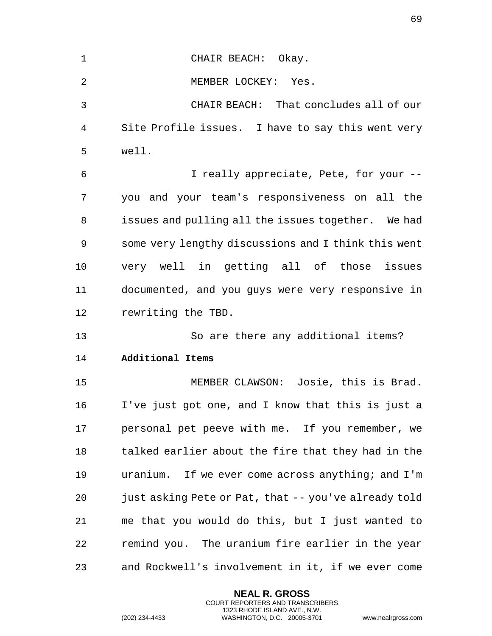| $\mathbf 1$ | CHAIR BEACH: Okay.                                   |
|-------------|------------------------------------------------------|
| 2           | MEMBER LOCKEY: Yes.                                  |
| 3           | CHAIR BEACH: That concludes all of our               |
| 4           | Site Profile issues. I have to say this went very    |
| 5           | well.                                                |
| 6           | I really appreciate, Pete, for your --               |
| 7           | you and your team's responsiveness on all the        |
| 8           | issues and pulling all the issues together. We had   |
| 9           | some very lengthy discussions and I think this went  |
| 10          | very well in getting all of those issues             |
| 11          | documented, and you guys were very responsive in     |
|             |                                                      |
| 12          | rewriting the TBD.                                   |
| 13          | So are there any additional items?                   |
| 14          | Additional Items                                     |
| 15          | MEMBER CLAWSON: Josie, this is Brad.                 |
| 16          | I've just got one, and I know that this is just a    |
| 17          | personal pet peeve with me. If you remember, we      |
| 18          | talked earlier about the fire that they had in the   |
| 19          | uranium. If we ever come across anything; and I'm    |
| 20          | just asking Pete or Pat, that -- you've already told |
| 21          | me that you would do this, but I just wanted to      |
| 22          | remind you. The uranium fire earlier in the year     |

**NEAL R. GROSS** COURT REPORTERS AND TRANSCRIBERS 1323 RHODE ISLAND AVE., N.W.

(202) 234-4433 WASHINGTON, D.C. 20005-3701 www.nealrgross.com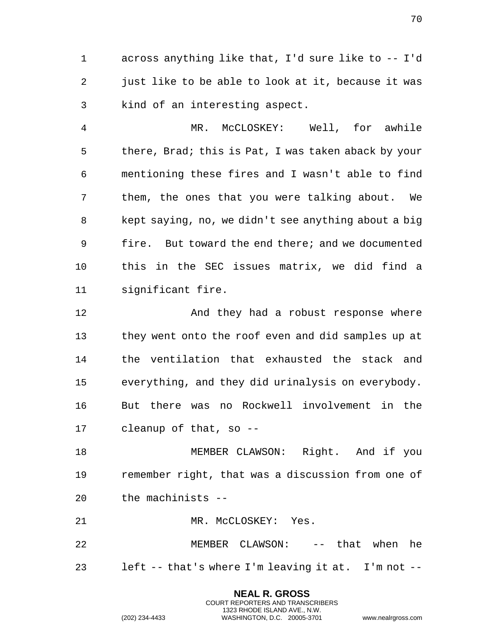1 across anything like that, I'd sure like to -- I'd 2 just like to be able to look at it, because it was 3 kind of an interesting aspect.

4 MR. McCLOSKEY: Well, for awhile 5 there, Brad; this is Pat, I was taken aback by your 6 mentioning these fires and I wasn't able to find 7 them, the ones that you were talking about. We 8 kept saying, no, we didn't see anything about a big 9 fire. But toward the end there; and we documented 10 this in the SEC issues matrix, we did find a 11 significant fire.

12 And they had a robust response where 13 they went onto the roof even and did samples up at 14 the ventilation that exhausted the stack and 15 everything, and they did urinalysis on everybody. 16 But there was no Rockwell involvement in the 17 cleanup of that, so --

18 MEMBER CLAWSON: Right. And if you 19 remember right, that was a discussion from one of 20 the machinists --

21 MR. McCLOSKEY: Yes.

22 MEMBER CLAWSON: -- that when he 23 left -- that's where I'm leaving it at. I'm not --

> **NEAL R. GROSS** COURT REPORTERS AND TRANSCRIBERS 1323 RHODE ISLAND AVE., N.W.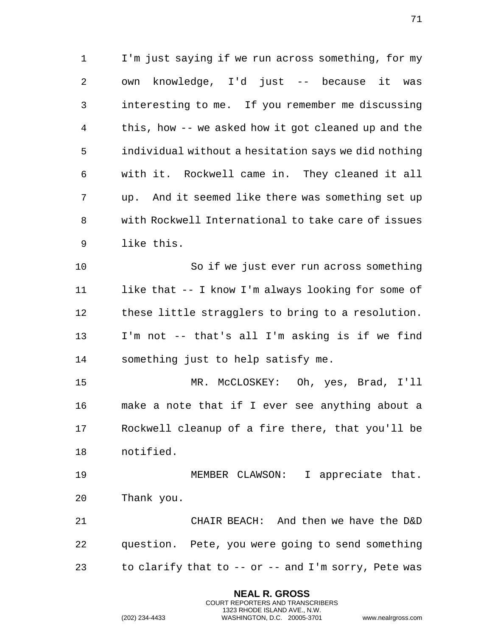1 I'm just saying if we run across something, for my 2 own knowledge, I'd just -- because it was 3 interesting to me. If you remember me discussing 4 this, how -- we asked how it got cleaned up and the 5 individual without a hesitation says we did nothing 6 with it. Rockwell came in. They cleaned it all 7 up. And it seemed like there was something set up 8 with Rockwell International to take care of issues 9 like this.

10 So if we just ever run across something 11 like that -- I know I'm always looking for some of 12 these little stragglers to bring to a resolution. 13 I'm not -- that's all I'm asking is if we find 14 something just to help satisfy me.

15 MR. McCLOSKEY: Oh, yes, Brad, I'll 16 make a note that if I ever see anything about a 17 Rockwell cleanup of a fire there, that you'll be 18 notified.

19 MEMBER CLAWSON: I appreciate that. 20 Thank you.

21 CHAIR BEACH: And then we have the D&D 22 question. Pete, you were going to send something 23 to clarify that to -- or -- and I'm sorry, Pete was

> **NEAL R. GROSS** COURT REPORTERS AND TRANSCRIBERS 1323 RHODE ISLAND AVE., N.W.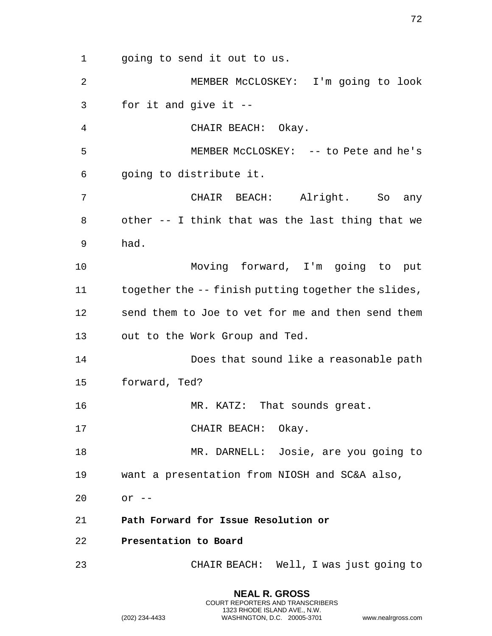1 going to send it out to us. 2 MEMBER McCLOSKEY: I'm going to look 3 for it and give it -- 4 CHAIR BEACH: Okay. 5 MEMBER McCLOSKEY: -- to Pete and he's 6 going to distribute it. 7 CHAIR BEACH: Alright. So any 8 other -- I think that was the last thing that we 9 had. 10 Moving forward, I'm going to put 11 together the -- finish putting together the slides, 12 send them to Joe to vet for me and then send them 13 out to the Work Group and Ted. 14 Does that sound like a reasonable path 15 forward, Ted? 16 MR. KATZ: That sounds great. 17 CHAIR BEACH: Okay. 18 MR. DARNELL: Josie, are you going to 19 want a presentation from NIOSH and SC&A also, 20 or -- 21 **Path Forward for Issue Resolution or**  22 **Presentation to Board**  23 CHAIR BEACH: Well, I was just going to

> **NEAL R. GROSS** COURT REPORTERS AND TRANSCRIBERS 1323 RHODE ISLAND AVE., N.W.

(202) 234-4433 WASHINGTON, D.C. 20005-3701 www.nealrgross.com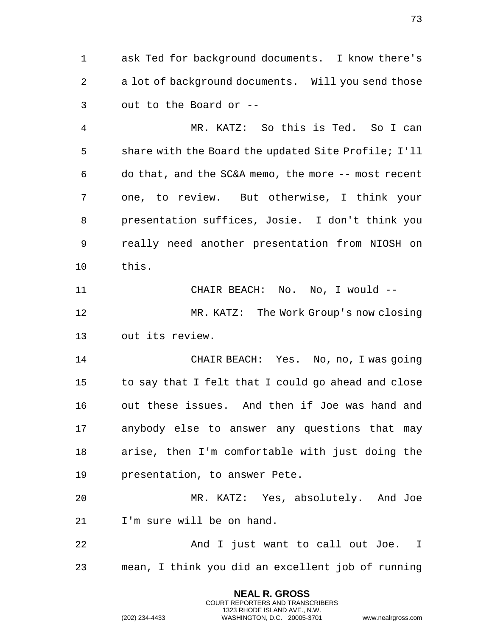1 ask Ted for background documents. I know there's 2 a lot of background documents. Will you send those 3 out to the Board or --

4 MR. KATZ: So this is Ted. So I can 5 share with the Board the updated Site Profile; I'll 6 do that, and the SC&A memo, the more -- most recent 7 one, to review. But otherwise, I think your 8 presentation suffices, Josie. I don't think you 9 really need another presentation from NIOSH on 10 this.

11 CHAIR BEACH: No. No, I would -- 12 MR. KATZ: The Work Group's now closing 13 out its review.

14 CHAIR BEACH: Yes. No, no, I was going 15 to say that I felt that I could go ahead and close 16 out these issues. And then if Joe was hand and 17 anybody else to answer any questions that may 18 arise, then I'm comfortable with just doing the 19 presentation, to answer Pete.

20 MR. KATZ: Yes, absolutely. And Joe 21 I'm sure will be on hand.

22 And I just want to call out Joe. I 23 mean, I think you did an excellent job of running

> **NEAL R. GROSS** COURT REPORTERS AND TRANSCRIBERS 1323 RHODE ISLAND AVE., N.W.

(202) 234-4433 WASHINGTON, D.C. 20005-3701 www.nealrgross.com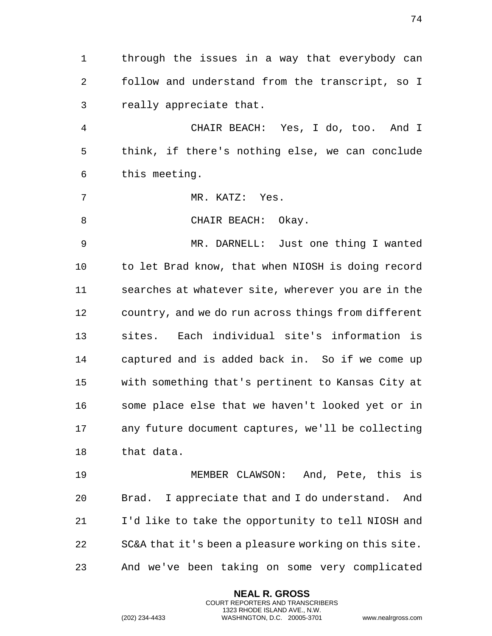1 through the issues in a way that everybody can 2 follow and understand from the transcript, so I 3 really appreciate that.

4 CHAIR BEACH: Yes, I do, too. And I 5 think, if there's nothing else, we can conclude 6 this meeting.

7 MR. KATZ: Yes.

8 CHAIR BEACH: Okay.

9 MR. DARNELL: Just one thing I wanted 10 to let Brad know, that when NIOSH is doing record 11 searches at whatever site, wherever you are in the 12 country, and we do run across things from different 13 sites. Each individual site's information is 14 captured and is added back in. So if we come up 15 with something that's pertinent to Kansas City at 16 some place else that we haven't looked yet or in 17 any future document captures, we'll be collecting 18 that data.

19 MEMBER CLAWSON: And, Pete, this is 20 Brad. I appreciate that and I do understand. And 21 I'd like to take the opportunity to tell NIOSH and 22 SC&A that it's been a pleasure working on this site. 23 And we've been taking on some very complicated

> **NEAL R. GROSS** COURT REPORTERS AND TRANSCRIBERS 1323 RHODE ISLAND AVE., N.W.

(202) 234-4433 WASHINGTON, D.C. 20005-3701 www.nealrgross.com